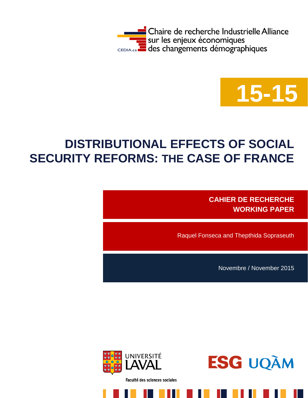



# **DISTRIBUTIONAL EFFECTS OF SOCIAL SECURITY REFORMS: THE CASE OF FRANCE**

**CAHIER DE RECHERCHE WORKING PAPER**

Raquel Fonseca and Thepthida Sopraseuth

Novembre / November 2015



Faculté des sciences sociales

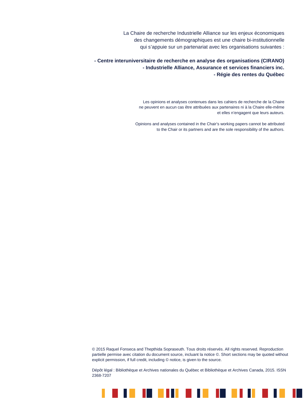La Chaire de recherche Industrielle Alliance sur les enjeux économiques des changements démographiques est une chaire bi-institutionnelle qui s'appuie sur un partenariat avec les organisations suivantes :

**- Centre interuniversitaire de recherche en analyse des organisations (CIRANO) - Industrielle Alliance, Assurance et services financiers inc. - Régie des rentes du Québec**

> Les opinions et analyses contenues dans les cahiers de recherche de la Chaire ne peuvent en aucun cas être attribuées aux partenaires ni à la Chaire elle-même et elles n'engagent que leurs auteurs.

Opinions and analyses contained in the Chair's working papers cannot be attributed to the Chair or its partners and are the sole responsibility of the authors.

© 2015 Raquel Fonseca and Thepthida Sopraseuth. Tous droits réservés. All rights reserved. Reproduction partielle permise avec citation du document source, incluant la notice ©. Short sections may be quoted without explicit permission, if full credit, including © notice, is given to the source.

Dépôt légal : Bibliothèque et Archives nationales du Québec et Bibliothèque et Archives Canada, 2015. ISSN 2368-7207

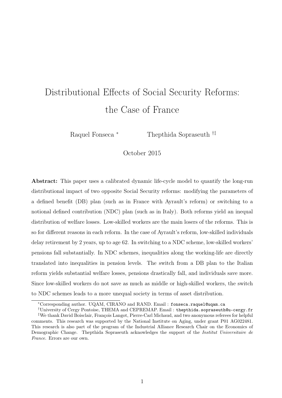# Distributional Effects of Social Security Reforms: the Case of France

Raquel Fonseca <sup>\*</sup> Thepthida Sopraseuth <sup>†‡</sup>

October 2015

Abstract: This paper uses a calibrated dynamic life-cycle model to quantify the long-run distributional impact of two opposite Social Security reforms: modifying the parameters of a defined benefit (DB) plan (such as in France with Ayrault's reform) or switching to a notional defined contribution (NDC) plan (such as in Italy). Both reforms yield an inequal distribution of welfare losses. Low-skilled workers are the main losers of the reforms. This is so for different reasons in each reform. In the case of Ayrault's reform, low-skilled individuals delay retirement by 2 years, up to age 62. In switching to a NDC scheme, low-skilled workers' pensions fall substantially. In NDC schemes, inequalities along the working-life are directly translated into inequalities in pension levels. The switch from a DB plan to the Italian reform yields substantial welfare losses, pensions drastically fall, and individuals save more. Since low-skilled workers do not save as much as middle or high-skilled workers, the switch to NDC schemes leads to a more unequal society in terms of asset distribution.

<sup>∗</sup>Corresponding author. UQAM, CIRANO and RAND. Email : fonseca.raquel@uqam.ca

<sup>†</sup>University of Cergy Pontoise, THEMA and CEPREMAP. Email : thepthida.sopraseuth@u-cergy.fr

<sup>‡</sup>We thank David Boisclair, François Langot, Pierre-Carl Michaud, and two anonymous referees for helpful comments. This research was supported by the National Institute on Aging, under grant P01 AG022481. This research is also part of the program of the Industrial Alliance Research Chair on the Economics of Demographic Change. Thepthida Sopraseuth acknowledges the support of the *Institut Universitaire de* France. Errors are our own.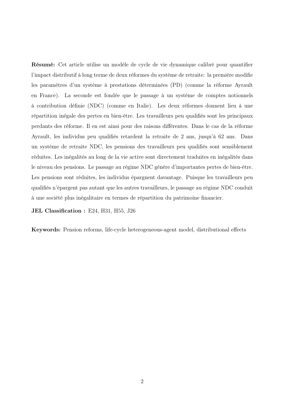Résumé: Cet article utilise un modèle de cycle de vie dynamique calibré pour quantifier l'impact distributif à long terme de deux réformes du système de retraite: la première modifie les paramètres d'un système à prestations déterminées (PD) (comme la réforme Ayrault en France). La seconde est fondée que le passage à un système de comptes notionnels à contribution définie (NDC) (comme en Italie). Les deux réformes donnent lieu à une répartition inégale des pertes en bien-être. Les travailleurs peu qualifiés sont les principaux perdants des réforme. Il en est ainsi pour des raisons différentes. Dans le cas de la réforme Ayrault, les individus peu qualifiés retardent la retraite de 2 ans, jusqu'à 62 ans. Dans un système de retraite NDC, les pensions des travailleurs peu qualifiés sont sensiblement réduites. Les inégalités au long de la vie active sont directement traduites en inégalités dans le niveau des pensions. Le passage au régime NDC génère d'importantes pertes de bien-être. Les pensions sont réduites, les individus épargnent davantage. Puisque les travailleurs peu qualifiés n'épargent pas autant que les autres travailleurs, le passage au régime NDC conduit à une société plus inégalitaire en termes de répartition du patrimoine financier.

JEL Classification : E24, H31, H55, J26

Keywords: Pension reforms, life-cycle heterogeneous-agent model, distributional effects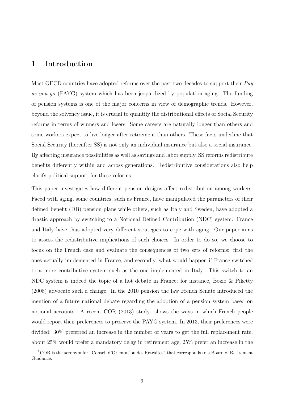# 1 Introduction

Most OECD countries have adopted reforms over the past two decades to support their  $Pay$ as you go (PAYG) system which has been jeopardized by population aging. The funding of pension systems is one of the major concerns in view of demographic trends. However, beyond the solvency issue, it is crucial to quantify the distributional effects of Social Security reforms in terms of winners and losers. Some careers are naturally longer than others and some workers expect to live longer after retirement than others. These facts underline that Social Security (hereafter SS) is not only an individual insurance but also a social insurance. By affecting insurance possibilities as well as savings and labor supply, SS reforms redistribute benefits differently within and across generations. Redistributive considerations also help clarify political support for these reforms.

This paper investigates how different pension designs affect redistribution among workers. Faced with aging, some countries, such as France, have manipulated the parameters of their defined benefit (DB) pension plans while others, such as Italy and Sweden, have adopted a drastic approach by switching to a Notional Defined Contribution (NDC) system. France and Italy have thus adopted very different strategies to cope with aging. Our paper aims to assess the redistributive implications of such choices. In order to do so, we choose to focus on the French case and evaluate the consequences of two sets of reforms: first the ones actually implemented in France, and secondly, what would happen if France switched to a more contributive system such as the one implemented in Italy. This switch to an NDC system is indeed the topic of a hot debate in France; for instance, Bozio & Piketty (2008) advocate such a change. In the 2010 pension the law French Senate introduced the mention of a future national debate regarding the adoption of a pension system based on notional accounts. A recent COR  $(2013)$  study<sup>1</sup> shows the ways in which French people would report their preferences to preserve the PAYG system. In 2013, their preferences were divided: 30% preferred an increase in the number of years to get the full replacement rate, about 25% would prefer a mandatory delay in retirement age, 25% prefer an increase in the

<sup>1</sup>COR is the acronym for "Conseil d'Orientation des Retraites" that corresponds to a Board of Retirement Guidance.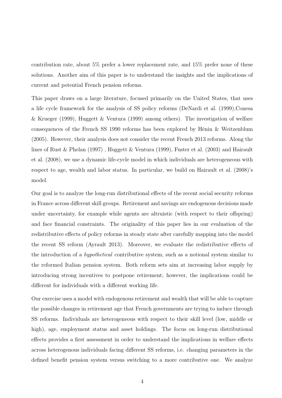contribution rate, about 5% prefer a lower replacement rate, and 15% prefer none of these solutions. Another aim of this paper is to understand the insights and the implications of current and potential French pension reforms.

This paper draws on a large literature, focused primarily on the United States, that uses a life cycle framework for the analysis of SS policy reforms (DeNardi et al. (1999),Conesa & Krueger (1999), Huggett & Ventura (1999) among others). The investigation of welfare consequences of the French SS 1990 reforms has been explored by Hénin & Weitzenblum (2005). However, their analysis does not consider the recent French 2013 reforms. Along the lines of Rust & Phelan (1997) , Huggett & Ventura (1999), Fuster et al. (2003) and Hairault et al. (2008), we use a dynamic life-cycle model in which individuals are heterogeneous with respect to age, wealth and labor status. In particular, we build on Hairault et al. (2008)'s model.

Our goal is to analyze the long-run distributional effects of the recent social security reforms in France across different skill groups. Retirement and savings are endogenous decisions made under uncertainty, for example while agents are altruistic (with respect to their offspring) and face financial constraints. The originality of this paper lies in our evaluation of the redistributive effects of policy reforms in steady state after carefully mapping into the model the recent SS reform (Ayrault 2013). Moreover, we evaluate the redistributive effects of the introduction of a hypothetical contributive system, such as a notional system similar to the reformed Italian pension system. Both reform sets aim at increasing labor supply by introducing strong incentives to postpone retirement; however, the implications could be different for individuals with a different working life.

Our exercise uses a model with endogenous retirement and wealth that will be able to capture the possible changes in retirement age that French governments are trying to induce through SS reforms. Individuals are heterogeneous with respect to their skill level (low, middle or high), age, employment status and asset holdings. The focus on long-run distributional effects provides a first assessment in order to understand the implications in welfare effects across heterogenous individuals facing different SS reforms, i.e. changing parameters in the defined benefit pension system versus switching to a more contributive one. We analyze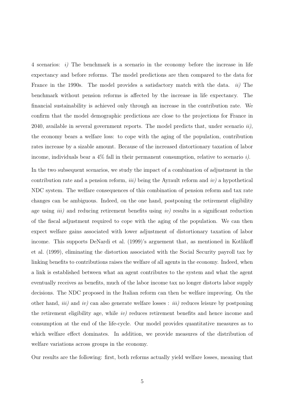4 scenarios: i) The benchmark is a scenario in the economy before the increase in life expectancy and before reforms. The model predictions are then compared to the data for France in the 1990s. The model provides a satisfactory match with the data. ii) The benchmark without pension reforms is affected by the increase in life expectancy. The financial sustainability is achieved only through an increase in the contribution rate. We confirm that the model demographic predictions are close to the projections for France in 2040, available in several government reports. The model predicts that, under scenario  $ii$ , the economy bears a welfare loss: to cope with the aging of the population, contribution rates increase by a sizable amount. Because of the increased distortionary taxation of labor income, individuals bear a  $4\%$  fall in their permanent consumption, relative to scenario i).

In the two subsequent scenarios, we study the impact of a combination of adjustment in the contribution rate and a pension reform, *iii*) being the Ayrault reform and *iv*) a hypothetical NDC system. The welfare consequences of this combination of pension reform and tax rate changes can be ambiguous. Indeed, on the one hand, postponing the retirement eligibility age using *iii*) and reducing retirement benefits using *iv*) results in a significant reduction of the fiscal adjustment required to cope with the aging of the population. We can then expect welfare gains associated with lower adjustment of distortionary taxation of labor income. This supports DeNardi et al. (1999)'s arguement that, as mentioned in Kotlikoff et al. (1999), eliminating the distortion associated with the Social Security payroll tax by linking benefits to contributions raises the welfare of all agents in the economy. Indeed, when a link is established between what an agent contributes to the system and what the agent eventually receives as benefits, much of the labor income tax no longer distorts labor supply decisions. The NDC proposed in the Italian reform can then be welfare improving. On the other hand, *iii*) and *iv*) can also generate welfare losses : *iii*) reduces leisure by postponing the retirement eligibility age, while iv) reduces retirement benefits and hence income and consumption at the end of the life-cycle. Our model provides quantitative measures as to which welfare effect dominates. In addition, we provide measures of the distribution of welfare variations across groups in the economy.

Our results are the following: first, both reforms actually yield welfare losses, meaning that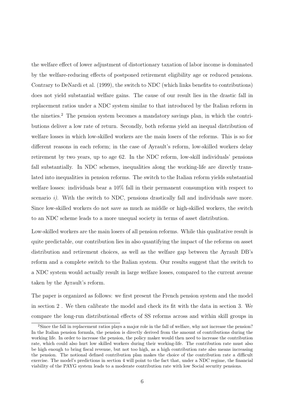the welfare effect of lower adjustment of distortionary taxation of labor income is dominated by the welfare-reducing effects of postponed retirement eligibility age or reduced pensions. Contrary to DeNardi et al. (1999), the switch to NDC (which links benefits to contributions) does not yield substantial welfare gains. The cause of our result lies in the drastic fall in replacement ratios under a NDC system similar to that introduced by the Italian reform in the nineties.<sup>2</sup> The pension system becomes a mandatory savings plan, in which the contributions deliver a low rate of return. Secondly, both reforms yield an inequal distribution of welfare losses in which low-skilled workers are the main losers of the reforms. This is so for different reasons in each reform; in the case of Ayrault's reform, low-skilled workers delay retirement by two years, up to age 62. In the NDC reform, low-skill individuals' pensions fall substantially. In NDC schemes, inequalities along the working-life are directly translated into inequalities in pension reforms. The switch to the Italian reform yields substantial welfare losses: individuals bear a 10% fall in their permanent consumption with respect to scenario *i*). With the switch to NDC, pensions drastically fall and individuals save more. Since low-skilled workers do not save as much as middle or high-skilled workers, the switch to an NDC scheme leads to a more unequal society in terms of asset distribution.

Low-skilled workers are the main losers of all pension reforms. While this qualitative result is quite predictable, our contribution lies in also quantifying the impact of the reforms on asset distribution and retirement choices, as well as the welfare gap between the Ayrault DB's reform and a complete switch to the Italian system. Our results suggest that the switch to a NDC system would actually result in large welfare losses, compared to the current avenue taken by the Ayrault's reform.

The paper is organized as follows: we first present the French pension system and the model in section 2 . We then calibrate the model and check its fit with the data in section 3. We compare the long-run distributional effects of SS reforms across and within skill groups in

<sup>&</sup>lt;sup>2</sup>Since the fall in replacement ratios plays a major role in the fall of welfare, why not increase the pension? In the Italian pension formula, the pension is directly derived from the amount of contributions during the working life. In order to increase the pension, the policy maker would then need to increase the contribution rate, which could also hurt low skilled workers during their working-life. The contribution rate must also be high enough to bring fiscal revenue, but not too high, as a high contribution rate also means increasing the pension. The notional defined contribution plan makes the choice of the contribution rate a difficult exercise. The model's predictions in section 4 will point to the fact that, under a NDC regime, the financial viability of the PAYG system leads to a moderate contribution rate with low Social security pensions.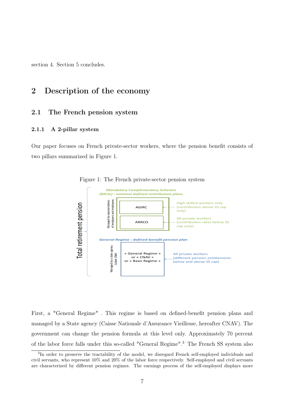section 4. Section 5 concludes.

# 2 Description of the economy

### 2.1 The French pension system

#### 2.1.1 A 2-pillar system

Our paper focuses on French private-sector workers, where the pension benefit consists of two pillars summarized in Figure 1.



Figure 1: The French private-sector pension system

First, a "General Regime" . This regime is based on defined-benefit pension plans and managed by a State agency (Caisse Nationale d'Assurance Vieillesse, hereafter CNAV). The government can change the pension formula at this level only. Approximately 70 percent of the labor force falls under this so-called "General Regime".<sup>3</sup> The French SS system also

<sup>&</sup>lt;sup>3</sup>In order to preserve the tractability of the model, we disregard French self-employed individuals and civil servants, who represent 10% and 20% of the labor force respectively. Self-employed and civil servants are characterized by different pension regimes. The earnings process of the self-employed displays more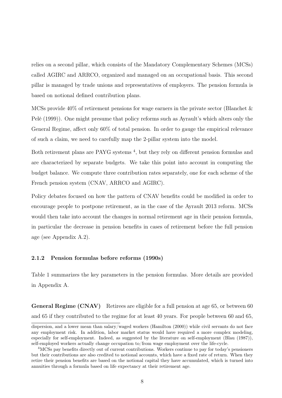relies on a second pillar, which consists of the Mandatory Complementary Schemes (MCSs) called AGIRC and ARRCO, organized and managed on an occupational basis. This second pillar is managed by trade unions and representatives of employers. The pension formula is based on notional defined contribution plans.

MCSs provide 40% of retirement pensions for wage earners in the private sector (Blanchet & Pelé (1999)). One might presume that policy reforms such as Ayrault's which alters only the General Regime, affect only 60% of total pension. In order to gauge the empirical relevance of such a claim, we need to carefully map the 2-pillar system into the model.

Both retirement plans are PAYG systems<sup>4</sup>, but they rely on different pension formulas and are characterized by separate budgets. We take this point into account in computing the budget balance. We compute three contribution rates separately, one for each scheme of the French pension system (CNAV, ARRCO and AGIRC).

Policy debates focused on how the pattern of CNAV benefits could be modified in order to encourage people to postpone retirement, as in the case of the Ayrault 2013 reform. MCSs would then take into account the changes in normal retirement age in their pension formula, in particular the decrease in pension benefits in cases of retirement before the full pension age (see Appendix A.2).

#### 2.1.2 Pension formulas before reforms (1990s)

Table 1 summarizes the key parameters in the pension formulas. More details are provided in Appendix A.

General Regime (CNAV) Retirees are eligible for a full pension at age 65, or between 60 and 65 if they contributed to the regime for at least 40 years. For people between 60 and 65,

dispersion, and a lower mean than salary/waged workers (Hamilton (2000)) while civil servants do not face any employment risk. In addition, labor market status would have required a more complex modeling, especially for self-employment. Indeed, as suggested by the literature on self-employment (Blau (1987)), self-employed workers actually change occupation to/from wage employment over the life-cycle.

<sup>4</sup>MCSs pay benefits directly out of current contributions. Workers continue to pay for today's pensioners but their contributions are also credited to notional accounts, which have a fixed rate of return. When they retire their pension benefits are based on the notional capital they have accumulated, which is turned into annuities through a formula based on life expectancy at their retirement age.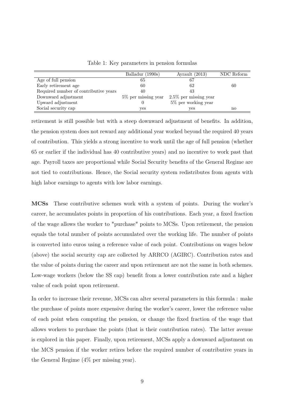|                                       | Balladur (1990s)       | Ayrault $(2013)$         | NDC Reform |
|---------------------------------------|------------------------|--------------------------|------------|
| Age of full pension                   | 65                     | 67                       |            |
| Early retirement age                  | 60                     | 62                       | 60         |
| Required number of contributive years | 40                     | 43                       |            |
| Downward adjustment                   | $5\%$ per missing year | $2.5\%$ per missing year |            |
| Upward adjustment                     |                        | $5\%$ per working year   |            |
| Social security cap                   | yes                    | yes                      | no         |

Table 1: Key parameters in pension formulas

retirement is still possible but with a steep downward adjustment of benefits. In addition, the pension system does not reward any additional year worked beyond the required 40 years of contribution. This yields a strong incentive to work until the age of full pension (whether 65 or earlier if the individual has 40 contributive years) and no incentive to work past that age. Payroll taxes are proportional while Social Security benefits of the General Regime are not tied to contributions. Hence, the Social security system redistributes from agents with high labor earnings to agents with low labor earnings.

MCSs These contributive schemes work with a system of points. During the worker's career, he accumulates points in proportion of his contributions. Each year, a fixed fraction of the wage allows the worker to "purchase" points to MCSs. Upon retirement, the pension equals the total number of points accumulated over the working life. The number of points is converted into euros using a reference value of each point. Contributions on wages below (above) the social security cap are collected by ARRCO (AGIRC). Contribution rates and the value of points during the career and upon retirement are not the same in both schemes. Low-wage workers (below the SS cap) benefit from a lower contribution rate and a higher value of each point upon retirement.

In order to increase their revenue, MCSs can alter several parameters in this formula : make the purchase of points more expensive during the worker's career, lower the reference value of each point when computing the pension, or change the fixed fraction of the wage that allows workers to purchase the points (that is their contribution rates). The latter avenue is explored in this paper. Finally, upon retirement, MCSs apply a downward adjustment on the MCS pension if the worker retires before the required number of contributive years in the General Regime (4% per missing year).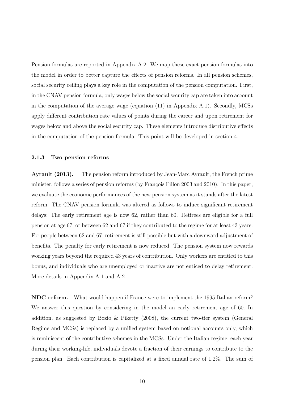Pension formulas are reported in Appendix A.2. We map these exact pension formulas into the model in order to better capture the effects of pension reforms. In all pension schemes, social security ceiling plays a key role in the computation of the pension computation. First, in the CNAV pension formula, only wages below the social security cap are taken into account in the computation of the average wage (equation (11) in Appendix A.1). Secondly, MCSs apply different contribution rate values of points during the career and upon retirement for wages below and above the social security cap. These elements introduce distributive effects in the computation of the pension formula. This point will be developed in section 4.

#### 2.1.3 Two pension reforms

Ayrault (2013). The pension reform introduced by Jean-Marc Ayrault, the French prime minister, follows a series of pension reforms (by François Fillon 2003 and 2010). In this paper, we evaluate the economic performances of the new pension system as it stands after the latest reform. The CNAV pension formula was altered as follows to induce significant retirement delays: The early retirement age is now 62, rather than 60. Retirees are eligible for a full pension at age 67, or between 62 and 67 if they contributed to the regime for at least 43 years. For people between 62 and 67, retirement is still possible but with a downward adjustment of benefits. The penalty for early retirement is now reduced. The pension system now rewards working years beyond the required 43 years of contribution. Only workers are entitled to this bonus, and individuals who are unemployed or inactive are not enticed to delay retirement. More details in Appendix A.1 and A.2.

NDC reform. What would happen if France were to implement the 1995 Italian reform? We answer this question by considering in the model an early retirement age of 60. In addition, as suggested by Bozio & Piketty  $(2008)$ , the current two-tier system (General Regime and MCSs) is replaced by a unified system based on notional accounts only, which is reminiscent of the contributive schemes in the MCSs. Under the Italian regime, each year during their working-life, individuals devote a fraction of their earnings to contribute to the pension plan. Each contribution is capitalized at a fixed annual rate of 1.2%. The sum of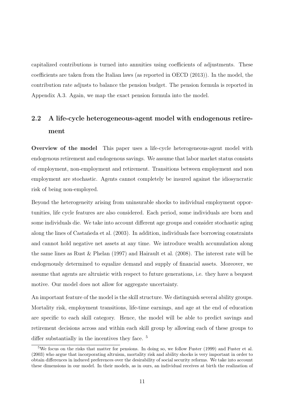capitalized contributions is turned into annuities using coefficients of adjustments. These coefficients are taken from the Italian laws (as reported in OECD (2013)). In the model, the contribution rate adjusts to balance the pension budget. The pension formula is reported in Appendix A.3. Again, we map the exact pension formula into the model.

# 2.2 A life-cycle heterogeneous-agent model with endogenous retirement

Overview of the model This paper uses a life-cycle heterogeneous-agent model with endogenous retirement and endogenous savings. We assume that labor market status consists of employment, non-employment and retirement. Transitions between employment and non employment are stochastic. Agents cannot completely be insured against the idiosyncratic risk of being non-employed.

Beyond the heterogeneity arising from uninsurable shocks to individual employment opportunities, life cycle features are also considered. Each period, some individuals are born and some individuals die. We take into account different age groups and consider stochastic aging along the lines of Castañeda et al. (2003). In addition, individuals face borrowing constraints and cannot hold negative net assets at any time. We introduce wealth accumulation along the same lines as Rust & Phelan (1997) and Hairault et al. (2008). The interest rate will be endogenously determined to equalize demand and supply of financial assets. Moreover, we assume that agents are altruistic with respect to future generations, i.e. they have a bequest motive. Our model does not allow for aggregate uncertainty.

An important feature of the model is the skill structure. We distinguish several ability groups. Mortality risk, employment transitions, life-time earnings, and age at the end of education are specific to each skill category. Hence, the model will be able to predict savings and retirement decisions across and within each skill group by allowing each of these groups to differ substantially in the incentives they face. <sup>5</sup>

<sup>&</sup>lt;sup>5</sup>We focus on the risks that matter for pensions. In doing so, we follow Fuster (1999) and Fuster et al. (2003) who argue that incorporating altruism, mortality risk and ability shocks is very important in order to obtain differences in induced preferences over the desirability of social security reforms. We take into account these dimensions in our model. In their models, as in ours, an individual receives at birth the realization of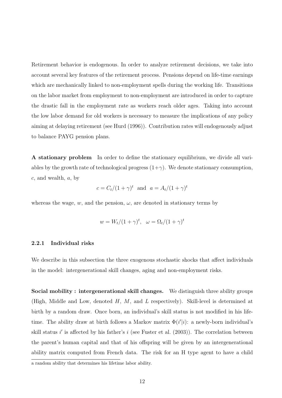Retirement behavior is endogenous. In order to analyze retirement decisions, we take into account several key features of the retirement process. Pensions depend on life-time earnings which are mechanically linked to non-employment spells during the working life. Transitions on the labor market from employment to non-employment are introduced in order to capture the drastic fall in the employment rate as workers reach older ages. Taking into account the low labor demand for old workers is necessary to measure the implications of any policy aiming at delaying retirement (see Hurd (1996)). Contribution rates will endogenously adjust to balance PAYG pension plans.

A stationary problem In order to define the stationary equilibrium, we divide all variables by the growth rate of technological progress  $(1+\gamma)$ . We denote stationary consumption,  $c$ , and wealth,  $a$ , by

$$
c = C_t/(1+\gamma)^t
$$
 and  $a = A_t/(1+\gamma)^t$ 

whereas the wage, w, and the pension,  $\omega$ , are denoted in stationary terms by

$$
w = W_t/(1+\gamma)^t, \quad \omega = \Omega_t/(1+\gamma)^t
$$

#### 2.2.1 Individual risks

We describe in this subsection the three exogenous stochastic shocks that affect individuals in the model: intergenerational skill changes, aging and non-employment risks.

Social mobility : intergenerational skill changes. We distinguish three ability groups (High, Middle and Low, denoted  $H$ ,  $M$ , and  $L$  respectively). Skill-level is determined at birth by a random draw. Once born, an individual's skill status is not modified in his lifetime. The ability draw at birth follows a Markov matrix  $\Phi(i'|i)$ : a newly-born individual's skill status i' is affected by his father's i (see Fuster et al.  $(2003)$ ). The correlation between the parent's human capital and that of his offspring will be given by an intergenerational ability matrix computed from French data. The risk for an H type agent to have a child

a random ability that determines his lifetime labor ability.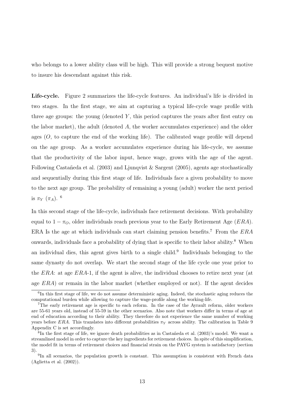who belongs to a lower ability class will be high. This will provide a strong bequest motive to insure his descendant against this risk.

Life-cycle. Figure 2 summarizes the life-cycle features. An individual's life is divided in two stages. In the first stage, we aim at capturing a typical life-cycle wage profile with three age groups: the young (denoted  $Y$ , this period captures the years after first entry on the labor market), the adult (denoted  $A$ , the worker accumulates experience) and the older ages  $(O, to capture the end of the working life)$ . The calibrated wage profile will depend on the age group. As a worker accumulates experience during his life-cycle, we assume that the productivity of the labor input, hence wage, grows with the age of the agent. Following Castañeda et al. (2003) and Ljunqvist & Sargent (2005), agents age stochastically and sequentially during this first stage of life. Individuals face a given probability to move to the next age group. The probability of remaining a young (adult) worker the next period is  $\pi_Y(\pi_A)$ . <sup>6</sup>

In this second stage of the life-cycle, individuals face retirement decisions. With probability equal to  $1 - \pi_O$ , older individuals reach previous year to the Early Retirement Age (*ERA*). ERA Is the age at which individuals can start claiming pension benefits.<sup>7</sup> From the  $ERA$ onwards, individuals face a probability of dying that is specific to their labor ability.<sup>8</sup> When an individual dies, this agent gives birth to a single child.<sup>9</sup> Individuals belonging to the same dynasty do not overlap. We start the second stage of the life cycle one year prior to the ERA: at age ERA-1, if the agent is alive, the individual chooses to retire next year (at age ERA) or remain in the labor market (whether employed or not). If the agent decides

<sup>&</sup>lt;sup>6</sup>In this first stage of life, we do not assume deterministic aging. Indeed, the stochastic aging reduces the computational burden while allowing to capture the wage-profile along the working-life.

<sup>7</sup>The early retirement age is specific to each reform. In the case of the Ayrault reform, older workers are 55-61 years old, instead of 55-59 in the other scenarios. Also note that workers differ in terms of age at end of education according to their ability. They therefore do not experience the same number of working years before ERA. This translates into different probabilities  $\pi_Y$  across ability. The calibration in Table 9 Appendix C is set accordingly.

<sup>8</sup> In the first stage of life, we ignore death probabilities as in Castañeda et al. (2003)'s model. We want a streamlined model in order to capture the key ingredients for retirement choices. In spite of this simplification, the model fit in terms of retirement choices and financial strain on the PAYG system is satisfactory (section 3).

<sup>&</sup>lt;sup>9</sup>In all scenarios, the population growth is constant. This assumption is consistent with French data (Aglietta et al. (2002)).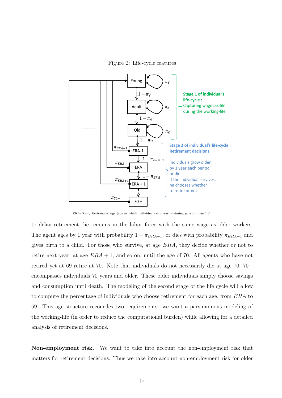Figure 2: Life-cycle features



ERA: Early Retirement Age (age at which individuals can start claiming pension benefits).

to delay retirement, he remains in the labor force with the same wage as older workers. The agent ages by 1 year with probability  $1 - \pi_{ERA-1}$ , or dies with probability  $\pi_{ERA-1}$  and gives birth to a child. For those who survive, at age ERA, they decide whether or not to retire next year, at age  $ERA + 1$ , and so on, until the age of 70. All agents who have not retired yet at 69 retire at 70. Note that individuals do not necessarily die at age 70; 70+ encompasses individuals 70 years and older. These older individuals simply choose savings and consumption until death. The modeling of the second stage of the life cycle will allow to compute the percentage of individuals who choose retirement for each age, from ERA to 69. This age structure reconciles two requirements: we want a parsimonious modeling of the working-life (in order to reduce the computational burden) while allowing for a detailed analysis of retirement decisions.

Non-employment risk. We want to take into account the non-employment risk that matters for retirement decisions. Thus we take into account non-employment risk for older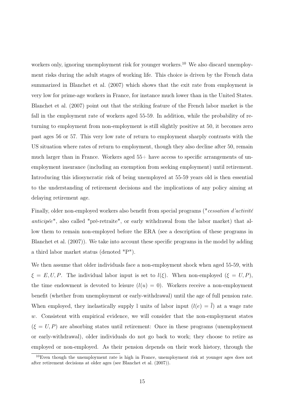workers only, ignoring unemployment risk for younger workers.<sup>10</sup> We also discard unemployment risks during the adult stages of working life. This choice is driven by the French data summarized in Blanchet et al. (2007) which shows that the exit rate from employment is very low for prime-age workers in France, for instance much lower than in the United States. Blanchet et al. (2007) point out that the striking feature of the French labor market is the fall in the employment rate of workers aged 55-59. In addition, while the probability of returning to employment from non-employment is still slightly positive at 50, it becomes zero past ages 56 or 57. This very low rate of return to employment sharply contrasts with the US situation where rates of return to employment, though they also decline after 50, remain much larger than in France. Workers aged  $55+$  have access to specific arrangements of unemployment insurance (including an exemption from seeking employment) until retirement. Introducing this idiosyncratic risk of being unemployed at 55-59 years old is then essential to the understanding of retirement decisions and the implications of any policy aiming at delaying retirement age.

Finally, older non-employed workers also benefit from special programs ("cessation d'activité anticipée", also called "pré-retraite", or early withdrawal from the labor market) that allow them to remain non-employed before the ERA (see a description of these programs in Blanchet et al. (2007)). We take into account these specific programs in the model by adding a third labor market status (denoted "P").

We then assume that older individuals face a non-employment shock when aged 55-59, with  $\xi = E, U, P$ . The individual labor input is set to  $l(\xi)$ . When non-employed  $(\xi = U, P)$ , the time endowment is devoted to leisure  $(l(u) = 0)$ . Workers receive a non-employment benefit (whether from unemployment or early-withdrawal) until the age of full pension rate. When employed, they inelastically supply l units of labor input  $(l(e) = \overline{l})$  at a wage rate  $w$ . Consistent with empirical evidence, we will consider that the non-employment states  $(\xi = U, P)$  are absorbing states until retirement: Once in these programs (unemployment or early-withdrawal), older individuals do not go back to work; they choose to retire as employed or non-employed. As their pension depends on their work history, through the

 $10$ Even though the unemployment rate is high in France, unemployment risk at younger ages does not after retirement decisions at older ages (see Blanchet et al. (2007)).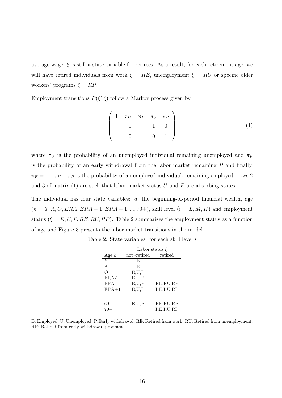average wage,  $\xi$  is still a state variable for retirees. As a result, for each retirement age, we will have retired individuals from work  $\xi = RE$ , unemployment  $\xi = RU$  or specific older workers' programs  $\xi = RP$ .

Employment transitions  $P(\xi'|\xi)$  follow a Markov process given by

$$
\begin{pmatrix}\n1 - \pi_U - \pi_P & \pi_U & \pi_P \\
0 & 1 & 0 \\
0 & 0 & 1\n\end{pmatrix}
$$
\n(1)

where  $\pi_U$  is the probability of an unemployed individual remaining unemployed and  $\pi_P$ is the probability of an early withdrawal from the labor market remaining  $P$  and finally,  $\pi_E = 1 - \pi_U - \pi_P$  is the probability of an employed individual, remaining employed. rows 2 and 3 of matrix (1) are such that labor market status  $U$  and  $P$  are absorbing states.

The individual has four state variables: a, the beginning-of-period financial wealth, age  $(k = Y, A, O, ERA, ERA - 1, ERA + 1, ..., 70+)$ , skill level  $(i = L, M, H)$  and employment status ( $\xi = E, U, P, RE, RU, RP$ ). Table 2 summarizes the employment status as a function of age and Figure 3 presents the labor market transitions in the model.

|              | Labor status $\xi$ |            |  |  |  |  |  |
|--------------|--------------------|------------|--|--|--|--|--|
| Age $k$      | not -retired       | retired    |  |  |  |  |  |
| Y            | F,                 |            |  |  |  |  |  |
| $\mathsf{A}$ | F,                 |            |  |  |  |  |  |
| $\bigcirc$   | E, U, P            |            |  |  |  |  |  |
| $ERA-1$      | E, U, P            |            |  |  |  |  |  |
| ERA          | E, U, P            | RE, RU, RP |  |  |  |  |  |
| $ERA+1$      | E, U, P            | RE, RU, RP |  |  |  |  |  |
|              |                    |            |  |  |  |  |  |
| 69           | E, U, P            | RE, RU, RP |  |  |  |  |  |
|              |                    | RE, RU, RP |  |  |  |  |  |

| Table 2: State variables: for each skill level $i$ |  |
|----------------------------------------------------|--|
|----------------------------------------------------|--|

E: Employed, U: Unemployed, P:Early withdrawal, RE: Retired from work, RU: Retired from unemployment, RP: Retired from early withdrawal programs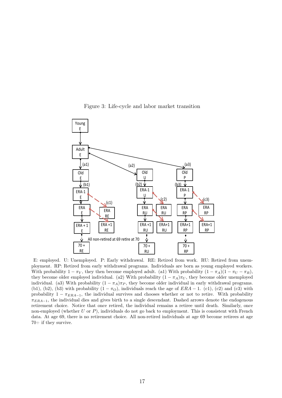



E: employed. U: Unemployed. P: Early withdrawal. RE: Retired from work. RU: Retired from unemployment. RP: Retired from early withdrawal programs. Individuals are born as young employed workers. With probability  $1 - \pi_Y$ , they then become employed adult. (a1) With probability  $(1 - \pi_A)(1 - \pi_V - \pi_R)$ , they become older employed individual. (a2) With probability  $(1 - \pi_A)\pi_U$ , they become older unemployed individual. (a3) With probability  $(1 - \pi_A)\pi_P$ , they become older individual in early withdrawal programs. (b1), (b2), (b3) with probability  $(1 - \pi<sub>O</sub>)$ , individuals reach the age of  $ERA - 1$ . (c1), (c2) and (c3) with probability  $1 - \pi_{ERA-1}$ , the individual survives and chooses whether or not to retire. With probability  $\pi_{ERA-1}$ , the individual dies and gives birth to a single descendant. Dashed arrows denote the endogenous retirement choice. Notice that once retired, the individual remains a retiree until death. Similarly, once non-employed (whether  $U$  or  $P$ ), individuals do not go back to employment. This is consistent with French data. At age 69, there is no retirement choice. All non-retired individuals at age 69 become retirees at age 70+ if they survive.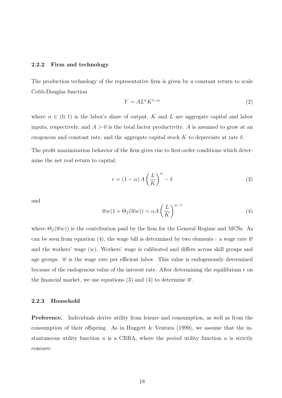#### 2.2.2 Firm and technology

The production technology of the representative firm is given by a constant return to scale Cobb-Douglas function

$$
Y = A L^{\alpha} K^{1-\alpha} \tag{2}
$$

where  $\alpha \in (0,1)$  is the labor's share of output, K and L are aggregate capital and labor inputs, respectively, and  $A > 0$  is the total factor productivity. A is assumed to grow at an exogenous and constant rate, and the aggregate capital stock K to depreciate at rate  $\delta$ .

The profit maximization behavior of the firm gives rise to first-order conditions which determine the net real return to capital,

$$
r = (1 - \alpha) A \left(\frac{L}{K}\right)^{\alpha} - \delta
$$
\n(3)

and

$$
\overline{w}w(1 + \Theta_f(\overline{w}w)) = \alpha A \left(\frac{L}{K}\right)^{\alpha - 1}
$$
\n(4)

where  $\Theta_f(\overline{w}w)$  is the contribution paid by the firm for the General Regime and MCSs. As can be seen from equation (4), the wage bill is determined by two elements : a wage rate  $\overline{w}$ and the workers' wage  $(w)$ . Workers' wage is calibrated and differs across skill groups and age groups.  $\overline{w}$  is the wage rate per efficient labor. This value is endogenously determined because of the endogenous value of the interest rate. After determining the equilibrium  $r$  on the financial market, we use equations (3) and (4) to determine  $\overline{w}$ .

#### 2.2.3 Household

Preference. Individuals derive utility from leisure and consumption, as well as from the consumption of their offspring. As in Huggett  $&$  Ventura (1999), we assume that the instantaneous utility function  $u$  is a CRRA, where the period utility function  $u$  is strictly concave: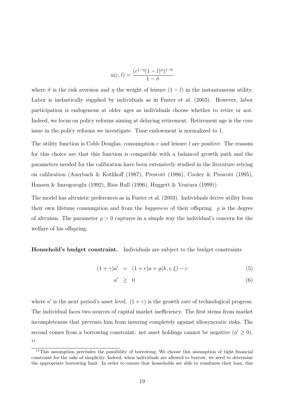$$
u(c,l) = \frac{(c^{1-\eta}(1-l)^{\eta})^{1-\tilde{\sigma}}}{1-\tilde{\sigma}}
$$

where  $\tilde{\sigma}$  is the risk aversion and  $\eta$  the weight of leisure  $(1 - l)$  in the instantaneous utility. Labor is inelastically supplied by individuals as in Fuster et al. (2003). However, labor participation is endogenous at older ages as individuals choose whether to retire or not. Indeed, we focus on policy reforms aiming at delaying retirement. Retirement age is the core issue in the policy reforms we investigate. Time endowment is normalized to 1.

The utility function is Cobb Douglas, consumption  $c$  and leisure  $l$  are positive. The reasons for this choice are that this function is compatible with a balanced growth path and the parameters needed for the calibration have been extensively studied in the literature relying on calibration (Auerbach & Kotlikoff (1987), Prescott (1986), Cooley & Prescott (1995), Hansen & Imrogoroglu (1992), Rios Rull (1996), Huggett & Ventura (1999)).

The model has altruistic preferences as in Fuster et al. (2003). Individuals derive utility from their own lifetime consumption and from the *happiness* of their offspring.  $\rho$  is the degree of altruism. The parameter  $\rho > 0$  captures in a simple way the individual's concern for the welfare of his offspring.

Household's budget constraint. Individuals are subject to the budget constraints

$$
(1+\gamma)a' = (1+r)a + y(k, i, \xi) - c \tag{5}
$$

$$
a' \geq 0 \tag{6}
$$

where a' is the next period's asset level.  $(1 + \gamma)$  is the growth rate of technological progress. The individual faces two sources of capital market inefficiency. The first stems from market incompleteness that prevents him from insuring completely against idiosyncratic risks. The second comes from a borrowing constraint: net asset holdings cannot be negative  $(a' \geq 0)$ . 11

<sup>&</sup>lt;sup>11</sup>This assumption precludes the possibility of borrowing. We choose this assumption of tight financial constraint for the sake of simplicity. Indeed, when individuals are allowed to borrow, we need to determine the appropriate borrowing limit. In order to ensure that households are able to reimburse their loan, this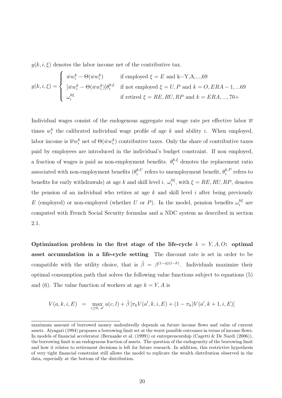$y(k, i, \xi)$  denotes the labor income net of the contributive tax.

$$
y(k, i, \xi) = \begin{cases} \bar{w}w_i^k - \Theta(\bar{w}w_i^k) & \text{if employed } \xi = E \text{ and } k = Y, A, ..., 69 \\ \bar{w}w_i^k - \Theta(\bar{w}w_i^k)\end{cases}
$$
  
if not employed  $\xi = U, P$  and  $k = O, ERA - 1, ... 69$   
if retired  $\xi = RE, RU, RP$  and  $k = ERA, ..., 70+$ 

Individual wages consist of the endogenous aggregate real wage rate per effective labor  $\overline{w}$ times  $w_i^k$  the calibrated individual wage profile of age k and ability i. When employed, labor income is  $\overline{w}w_i^k$  net of  $\Theta(\overline{w}w_i^k)$  contributive taxes. Only the share of contributive taxes paid by employees are introduced in the individual's budget constraint. If non employed, a fraction of wages is paid as non-employment benefits.  $\theta_i^{k,\xi}$  denotes the replacement ratio associated with non-employment benefits  $(\theta_i^{k,U})$  $i^{k,U}$  refers to unemployment benefit,  $\theta_i^{k,F}$  $i^{k,P}$  refers to benefits for early withdrawals) at age k and skill level i.  $\omega_i^{k\xi}$  $i_i^{k\xi}$ , with  $\xi = RE, RU, RP$ , denotes the pension of an individual who retires at age  $k$  and skill level  $i$  after being previously E (employed) or non-employed (whether U or P). In the model, pension benefits  $\omega_i^{k\xi}$  $a_i^{\kappa \xi}$  are computed with French Social Security formulas and a NDC system as described in section 2.1.

Optimization problem in the first stage of the life-cycle  $k = Y, A, O$ : optimal asset accumulation in a life-cycle setting The discount rate is set in order to be compatible with the utility choice, that is  $\tilde{\beta} = \beta^{(1-\eta)(1-\tilde{\sigma})}$ . Individuals maximize their optimal consumption path that solves the following value functions subject to equations (5) and (6). The value function of workers at age  $k = Y, A$  is

$$
V(a,k,i,E) = \max_{c \ge 0, a'} u(c,l) + \tilde{\beta} \left[ \pi_k V(a',k,i,E) + (1 - \pi_k) V(a',k+1,i,E) \right]
$$

maximum amount of borrowed money undoubtedly depends on future income flows and value of current assets. Aiyagari (1994) proposes a borrowing limit set at the worst possible outcomes in terms of income flows. In models of financial accelerator (Bernanke et al. (1999)) or entrepreneurship (Cagetti & De Nardi (2006)), the borrowing limit is an endogenous fraction of assets. The question of the endogeneity of the borrowing limit and how it relates to retirement decisions is left for future research. In addition, this restrictive hypothesis of very tight financial constraint still allows the model to replicate the wealth distribution observed in the data, especially at the bottom of the distribution.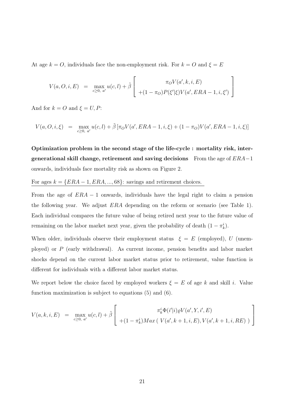At age  $k = O$ , individuals face the non-employment risk. For  $k = O$  and  $\xi = E$ 

$$
V(a, O, i, E) = \max_{c \ge 0, a'} u(c, l) + \tilde{\beta} \left[ \frac{\pi_O V(a', k, i, E)}{+(1 - \pi_O) P(\xi'|\xi) V(a', ERA - 1, i, \xi')} \right]
$$

And for  $k = O$  and  $\xi = U, P$ :

$$
V(a, O, i, \xi) = \max_{c \ge 0, a'} u(c, l) + \tilde{\beta} \left[ \pi_O V(a', ERA - 1, i, \xi) + (1 - \pi_O) V(a', ERA - 1, i, \xi) \right]
$$

Optimization problem in the second stage of the life-cycle : mortality risk, intergenerational skill change, retirement and saving decisions From the age of  $ERA-1$ onwards, individuals face mortality risk as shown on Figure 2.

### For ages  $k = \{ERA - 1, ERA, ..., 68\}$ : savings and retirement choices.

From the age of  $ERA - 1$  onwards, individuals have the legal right to claim a pension the following year. We adjust ERA depending on the reform or scenario (see Table 1). Each individual compares the future value of being retired next year to the future value of remaining on the labor market next year, given the probability of death  $(1 - \pi_k^i)$ .

When older, individuals observe their employment status  $\xi = E$  (employed), U (unemployed) or P (early withdrawal). As current income, pension benefits and labor market shocks depend on the current labor market status prior to retirement, value function is different for individuals with a different labor market status.

We report below the choice faced by employed workers  $\xi = E$  of age k and skill i. Value function maximization is subject to equations (5) and (6).

$$
V(a,k,i,E) = \max_{c \ge 0, a'} u(c,l) + \tilde{\beta} \left[ \frac{\pi_k^i \Phi(i'|i) \varrho V(a',Y,i',E)}{+(1-\pi_k^i) Max(V(a',k+1,i,E), V(a',k+1,i,RE))} \right]
$$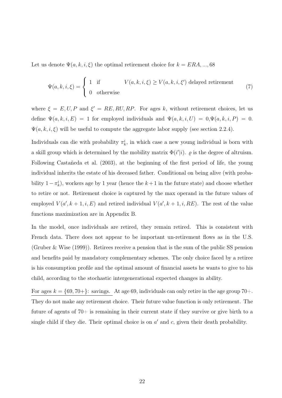Let us denote  $\Psi(a, k, i, \xi)$  the optimal retirement choice for  $k = ERA, ..., 68$ 

$$
\Psi(a,k,i,\xi) = \begin{cases}\n1 & \text{if} \\
0 & \text{otherwise}\n\end{cases} V(a,k,i,\xi) \ge V(a,k,i,\xi') \text{ delayed retirement} \tag{7}
$$

where  $\xi = E, U, P$  and  $\xi' = RE, RU, RP$ . For ages k, without retirement choices, let us define  $\Psi(a, k, i, E) = 1$  for employed individuals and  $\Psi(a, k, i, U) = 0, \Psi(a, k, i, P) = 0$ .  $\Psi(a, k, i, \xi)$  will be useful to compute the aggregate labor supply (see section 2.2.4).

Individuals can die with probability  $\pi_k^i$ , in which case a new young individual is born with a skill group which is determined by the mobility matrix  $\Phi(i'|i)$ .  $\varrho$  is the degree of altruism. Following Castañeda et al. (2003), at the beginning of the first period of life, the young individual inherits the estate of his deceased father. Conditional on being alive (with probability  $1 - \pi_k^i$ , workers age by 1 year (hence the  $k + 1$  in the future state) and choose whether to retire or not. Retirement choice is captured by the max operand in the future values of employed  $V(a', k+1, i, E)$  and retired individual  $V(a', k+1, i, RE)$ . The rest of the value functions maximization are in Appendix B.

In the model, once individuals are retired, they remain retired. This is consistent with French data. There does not appear to be important un-retirement flows as in the U.S. (Gruber & Wise (1999)). Retirees receive a pension that is the sum of the public SS pension and benefits paid by mandatory complementary schemes. The only choice faced by a retiree is his consumption profile and the optimal amount of financial assets he wants to give to his child, according to the stochastic intergenerational expected changes in ability.

For ages  $k = \{69, 70+\}$ : savings. At age 69, individuals can only retire in the age group 70+. They do not make any retirement choice. Their future value function is only retirement. The future of agents of 70+ is remaining in their current state if they survive or give birth to a single child if they die. Their optimal choice is on  $a'$  and  $c$ , given their death probability.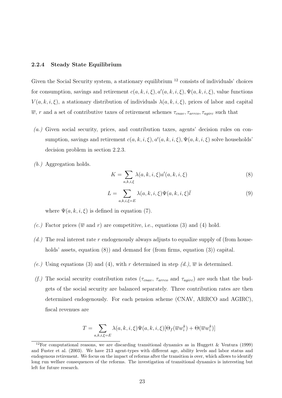#### 2.2.4 Steady State Equilibrium

Given the Social Security system, a stationary equilibrium  $12$  consists of individuals' choices for consumption, savings and retirement  $c(a, k, i, \xi), a'(a, k, i, \xi), \Psi(a, k, i, \xi)$ , value functions  $V(a, k, i, \xi)$ , a stationary distribution of individuals  $\lambda(a, k, i, \xi)$ , prices of labor and capital  $\overline{w}$ , r and a set of contributive taxes of retirement schemes  $\tau_{cnav}, \tau_{arroc}, \tau_{agirc}$  such that

- $(a)$  Given social security, prices, and contribution taxes, agents' decision rules on consumption, savings and retirement  $c(a, k, i, \xi), a'(a, k, i, \xi), \Psi(a, k, i, \xi)$  solve households' decision problem in section 2.2.3.
- (b.) Aggregation holds.

$$
K = \sum_{a,k,i,\xi} \lambda(a,k,i,\xi) a'(a,k,i,\xi)
$$
\n(8)

$$
L = \sum_{a,k,i,\xi=E} \lambda(a,k,i,\xi)\Psi(a,k,i,\xi)\bar{l}
$$
 (9)

where  $\Psi(a, k, i, \xi)$  is defined in equation (7).

- (c.) Factor prices ( $\overline{w}$  and r) are competitive, i.e., equations (3) and (4) hold.
- $(d.)$  The real interest rate r endogenously always adjusts to equalize supply of (from households' assets, equation (8)) and demand for (from firms, equation (3)) capital.
- (e.) Using equations (3) and (4), with r determined in step  $(d_i)$ ,  $\overline{w}$  is determined.
- (f.) The social security contribution rates ( $\tau_{cnav}$ ,  $\tau_{arcc}$  and  $\tau_{agirc}$ ) are such that the budgets of the social security are balanced separately. Three contribution rates are then determined endogenously. For each pension scheme (CNAV, ARRCO and AGIRC), fiscal revenues are

$$
T = \sum_{a,k,i,\xi=E} \lambda(a,k,i,\xi) \Psi(a,k,i,\xi) [\Theta_f(\overline{w}w_i^k) + \Theta(\overline{w}w_i^k)]
$$

<sup>&</sup>lt;sup>12</sup>For computational reasons, we are discarding transitional dynamics as in Huggett & Ventura (1999) and Fuster et al. (2003). We have 213 agent-types with different age, ability levels and labor status and endogenous retirement. We focus on the impact of reforms after the transition is over, which allows to identify long run welfare consequences of the reforms. The investigation of transitional dynamics is interesting but left for future research.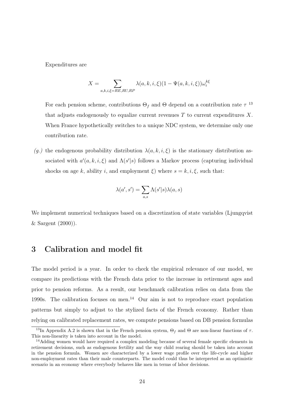Expenditures are

$$
X=\sum_{a,k,i,\xi=RE,RU,RP}\lambda(a,k,i,\xi)(1-\Psi(a,k,i,\xi))\omega_i^{k\xi}
$$

For each pension scheme, contributions  $\Theta_f$  and  $\Theta$  depend on a contribution rate  $\tau$ <sup>13</sup> that adjusts endogenously to equalize current revenues  $T$  to current expenditures  $X$ . When France hypothetically switches to a unique NDC system, we determine only one contribution rate.

(g.) the endogenous probability distribution  $\lambda(a, k, i, \xi)$  is the stationary distribution associated with  $a'(a, k, i, \xi)$  and  $\Lambda(s'|s)$  follows a Markov process (capturing individual shocks on age k, ability i, and employment  $\xi$ ) where  $s = k, i, \xi$ , such that:

$$
\lambda(a',s') = \sum_{a,s} \Lambda(s'|s) \lambda(a,s)
$$

We implement numerical techniques based on a discretization of state variables (Ljungqvist) & Sargent (2000)).

# 3 Calibration and model fit

The model period is a year. In order to check the empirical relevance of our model, we compare its predictions with the French data prior to the increase in retirement ages and prior to pension reforms. As a result, our benchmark calibration relies on data from the 1990s. The calibration focuses on men.<sup>14</sup> Our aim is not to reproduce exact population patterns but simply to adjust to the stylized facts of the French economy. Rather than relying on calibrated replacement rates, we compute pensions based on DB pension formulas

<sup>&</sup>lt;sup>13</sup>In Appendix A.2 is shown that in the French pension system,  $\Theta_f$  and  $\Theta$  are non-linear functions of  $\tau$ . This non-linearity is taken into account in the model.

<sup>&</sup>lt;sup>14</sup>Adding women would have required a complex modeling because of several female specific elements in retirement decisions, such as endogenous fertility and the way child rearing should be taken into account in the pension formula. Women are characterized by a lower wage profile over the life-cycle and higher non-employment rates than their male counterparts. The model could thus be interpreted as an optimistic scenario in an economy where everybody behaves like men in terms of labor decisions.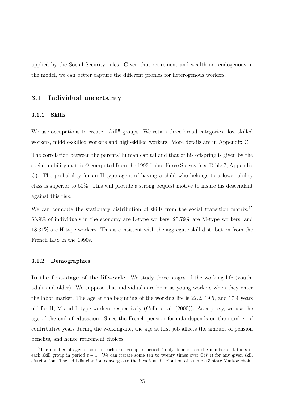applied by the Social Security rules. Given that retirement and wealth are endogenous in the model, we can better capture the different profiles for heterogenous workers.

### 3.1 Individual uncertainty

#### 3.1.1 Skills

We use occupations to create "skill" groups. We retain three broad categories: low-skilled workers, middle-skilled workers and high-skilled workers. More details are in Appendix C.

The correlation between the parents' human capital and that of his offspring is given by the social mobility matrix  $\Phi$  computed from the 1993 Labor Force Survey (see Table 7, Appendix C). The probability for an H-type agent of having a child who belongs to a lower ability class is superior to 50%. This will provide a strong bequest motive to insure his descendant against this risk.

We can compute the stationary distribution of skills from the social transition matrix.<sup>15</sup> 55.9% of individuals in the economy are L-type workers, 25.79% are M-type workers, and 18.31% are H-type workers. This is consistent with the aggregate skill distribution from the French LFS in the 1990s.

#### 3.1.2 Demographics

In the first-stage of the life-cycle We study three stages of the working life (youth, adult and older). We suppose that individuals are born as young workers when they enter the labor market. The age at the beginning of the working life is 22.2, 19.5, and 17.4 years old for H, M and L-type workers respectively (Colin et al. (2000)). As a proxy, we use the age of the end of education. Since the French pension formula depends on the number of contributive years during the working-life, the age at first job affects the amount of pension benefits, and hence retirement choices.

<sup>&</sup>lt;sup>15</sup>The number of agents born in each skill group in period  $t$  only depends on the number of fathers in each skill group in period  $t-1$ . We can iterate some ten to twenty times over  $\Phi(i'|i)$  for any given skill distribution. The skill distribution converges to the invariant distribution of a simple 3-state Markov-chain.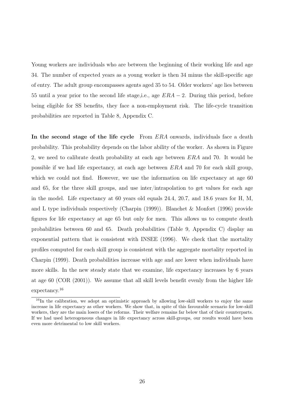Young workers are individuals who are between the beginning of their working life and age 34. The number of expected years as a young worker is then 34 minus the skill-specific age of entry. The adult group encompasses agents aged 35 to 54. Older workers' age lies between 55 until a year prior to the second life stage, i.e., age  $ERA - 2$ . During this period, before being eligible for SS benefits, they face a non-employment risk. The life-cycle transition probabilities are reported in Table 8, Appendix C.

In the second stage of the life cycle From ERA onwards, individuals face a death probability. This probability depends on the labor ability of the worker. As shown in Figure 2, we need to calibrate death probability at each age between ERA and 70. It would be possible if we had life expectancy, at each age between ERA and 70 for each skill group, which we could not find. However, we use the information on life expectancy at age 60 and 65, for the three skill groups, and use inter/intrapolation to get values for each age in the model. Life expectancy at 60 years old equals 24.4, 20.7, and 18.6 years for H, M, and L type individuals respectively (Charpin (1999)). Blanchet & Monfort (1996) provide figures for life expectancy at age 65 but only for men. This allows us to compute death probabilities between 60 and 65. Death probabilities (Table 9, Appendix C) display an exponential pattern that is consistent with INSEE (1996). We check that the mortality profiles computed for each skill group is consistent with the aggregate mortality reported in Charpin (1999). Death probabilities increase with age and are lower when individuals have more skills. In the new steady state that we examine, life expectancy increases by 6 years at age 60 (COR (2001)). We assume that all skill levels benefit evenly from the higher life expectancy.<sup>16</sup>

<sup>&</sup>lt;sup>16</sup>In the calibration, we adopt an optimistic approach by allowing low-skill workers to enjoy the same increase in life expectancy as other workers. We show that, in spite of this favourable scenario for low-skill workers, they are the main losers of the reforms. Their welfare remains far below that of their counterparts. If we had used heterogeneous changes in life expectancy across skill-groups, our results would have been even more detrimental to low skill workers.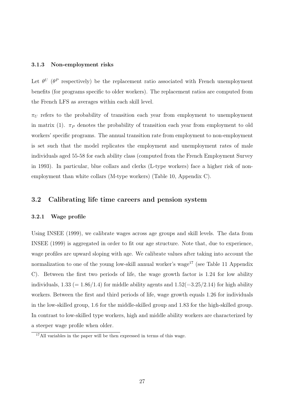#### 3.1.3 Non-employment risks

Let  $\theta^U$  ( $\theta^P$  respectively) be the replacement ratio associated with French unemployment benefits (for programs specific to older workers). The replacement ratios are computed from the French LFS as averages within each skill level.

 $\pi_U$  refers to the probability of transition each year from employment to unemployment in matrix (1).  $\pi_P$  denotes the probability of transition each year from employment to old workers' specific programs. The annual transition rate from employment to non-employment is set such that the model replicates the employment and unemployment rates of male individuals aged 55-58 for each ability class (computed from the French Employment Survey in 1993). In particular, blue collars and clerks (L-type workers) face a higher risk of nonemployment than white collars (M-type workers) (Table 10, Appendix C).

### 3.2 Calibrating life time careers and pension system

#### 3.2.1 Wage profile

Using INSEE (1999), we calibrate wages across age groups and skill levels. The data from INSEE (1999) is aggregated in order to fit our age structure. Note that, due to experience, wage profiles are upward sloping with age. We calibrate values after taking into account the normalization to one of the young low-skill annual worker's wage<sup>17</sup> (see Table 11 Appendix C). Between the first two periods of life, the wage growth factor is 1.24 for low ability individuals,  $1.33 (= 1.86/1.4)$  for middle ability agents and  $1.52 (=3.25/2.14)$  for high ability workers. Between the first and third periods of life, wage growth equals 1.26 for individuals in the low-skilled group, 1.6 for the middle-skilled group and 1.83 for the high-skilled group. In contrast to low-skilled type workers, high and middle ability workers are characterized by a steeper wage profile when older.

<sup>&</sup>lt;sup>17</sup>All variables in the paper will be then expressed in terms of this wage.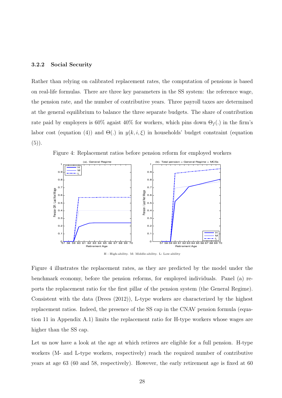### 3.2.2 Social Security

Rather than relying on calibrated replacement rates, the computation of pensions is based on real-life formulas. There are three key parameters in the SS system: the reference wage, the pension rate, and the number of contributive years. Three payroll taxes are determined at the general equilibrium to balance the three separate budgets. The share of contribution rate paid by employers is 60% agaist 40% for workers, which pins down  $\Theta_f(.)$  in the firm's labor cost (equation (4)) and  $\Theta(.)$  in  $y(k, i, \xi)$  in households' budget constraint (equation  $(5)$ ).





H : High-ability. M: Middle-ability. L: Low-ability

Figure 4 illustrates the replacement rates, as they are predicted by the model under the benchmark economy, before the pension reforms, for employed individuals. Panel (a) reports the replacement ratio for the first pillar of the pension system (the General Regime). Consistent with the data (Drees (2012)), L-type workers are characterized by the highest replacement ratios. Indeed, the presence of the SS cap in the CNAV pension formula (equation 11 in Appendix A.1) limits the replacement ratio for H-type workers whose wages are higher than the SS cap.

Let us now have a look at the age at which retirees are eligible for a full pension. H-type workers (M- and L-type workers, respectively) reach the required number of contributive years at age 63 (60 and 58, respectively). However, the early retirement age is fixed at 60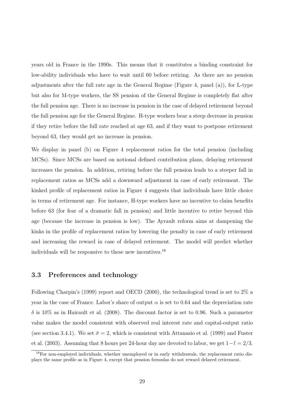years old in France in the 1990s. This means that it constitutes a binding constraint for low-ability individuals who have to wait until 60 before retiring. As there are no pension adjustments after the full rate age in the General Regime (Figure 4, panel (a)), for L-type but also for M-type workers, the SS pension of the General Regime is completely flat after the full pension age. There is no increase in pension in the case of delayed retirement beyond the full pension age for the General Regime. H-type workers bear a steep decrease in pension if they retire before the full rate reached at age 63, and if they want to postpone retirement beyond 63, they would get no increase in pension.

We display in panel (b) on Figure 4 replacement ratios for the total pension (including MCSs). Since MCSs are based on notional defined contribution plans, delaying retirement increases the pension. In addition, retiring before the full pension leads to a steeper fall in replacement ratios as MCSs add a downward adjustment in case of early retirement. The kinked profile of replacement ratios in Figure 4 suggests that individuals have little choice in terms of retirement age. For instance, H-type workers have no incentive to claim benefits before 63 (for fear of a dramatic fall in pension) and little incentive to retire beyond this age (because the increase in pension is low). The Ayrault reform aims at dampening the kinks in the profile of replacement ratios by lowering the penalty in case of early retirement and increasing the reward in case of delayed retirement. The model will predict whether individuals will be responsive to these new incentives.<sup>18</sup>

### 3.3 Preferences and technology

Following Charpin's (1999) report and OECD (2000), the technological trend is set to 2% a year in the case of France. Labor's share of output  $\alpha$  is set to 0.64 and the depreciation rate  $\delta$  is 10% as in Hairault et al. (2008). The discount factor is set to 0.96. Such a parameter value makes the model consistent with observed real interest rate and capital-output ratio (see section 3.4.1). We set  $\tilde{\sigma} = 2$ , which is consistent with Attanasio et al. (1999) and Fuster et al. (2003). Assuming that 8 hours per 24-hour day are devoted to labor, we get  $1-l = 2/3$ .

<sup>&</sup>lt;sup>18</sup>For non-employed individuals, whether unemployed or in early withdrawals, the replacement ratio displays the same profile as in Figure 4, except that pension formulas do not reward delayed retirement.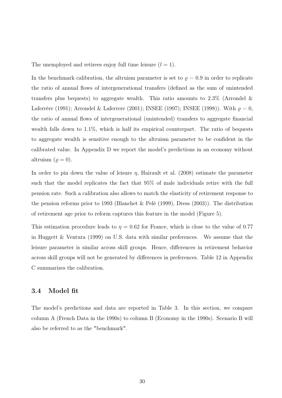The unemployed and retirees enjoy full time leisure  $(l = 1)$ .

In the benchmark calibration, the altruism parameter is set to  $\rho = 0.9$  in order to replicate the ratio of annual flows of intergenerational transfers (defined as the sum of unintended transfers plus bequests) to aggregate wealth. This ratio amounts to  $2.3\%$  (Arrondel & Laferrère (1991); Arrondel & Laferrere (2001); INSEE (1997); INSEE (1998)). With  $\rho = 0$ , the ratio of annual flows of intergenerational (unintended) transfers to aggregate financial wealth falls down to 1.1%, which is half its empirical counterpart. The ratio of bequests to aggregate wealth is sensitive enough to the altruism parameter to be confident in the calibrated value. In Appendix D we report the model's predictions in an economy without altruism  $(\varrho = 0)$ .

In order to pin down the value of leisure  $\eta$ , Hairault et al. (2008) estimate the parameter such that the model replicates the fact that 95% of male individuals retire with the full pension rate. Such a calibration also allows to match the elasticity of retirement response to the pension reforms prior to 1993 (Blanchet & Pelé (1999), Dress (2003)). The distribution of retirement age prior to reform captures this feature in the model (Figure 5).

This estimation procedure leads to  $\eta = 0.62$  for France, which is close to the value of 0.77 in Huggett & Ventura (1999) on U.S. data with similar preferences. We assume that the leisure parameter is similar across skill groups. Hence, differences in retirement behavior across skill groups will not be generated by differences in preferences. Table 12 in Appendix C summarizes the calibration.

### 3.4 Model fit

The model's predictions and data are reported in Table 3. In this section, we compare column A (French Data in the 1990s) to column B (Economy in the 1990s). Scenario B will also be referred to as the "benchmark".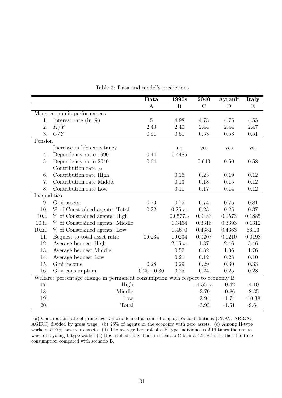|              |                                                                               | Data          | 1990s          | 2040           | Ayrault | Italy    |
|--------------|-------------------------------------------------------------------------------|---------------|----------------|----------------|---------|----------|
|              |                                                                               | $\mathbf{A}$  | B              | $\overline{C}$ | D       | E        |
|              | Macroeconomic performances                                                    |               |                |                |         |          |
| 1.           | Interest rate (in $\%$ )                                                      | $\mathbf 5$   | 4.98           | 4.78           | 4.75    | 4.55     |
| 2.           | K/Y                                                                           | 2.40          | 2.40           | 2.44           | 2.44    | 2.47     |
| 3.           | C/Y                                                                           | 0.51          | 0.51           | 0.53           | 0.53    | 0.51     |
| Pension      |                                                                               |               |                |                |         |          |
|              | Increase in life expectancy                                                   |               | $\rm {no}$     | yes            | yes     | yes      |
| 4.           | Dependency ratio 1990                                                         | 0.44          | 0.4485         |                |         |          |
| 5.           | Dependency ratio 2040                                                         | 0.64          |                | 0.640          | 0.50    | 0.58     |
|              | Contribution rate $(a)$                                                       |               |                |                |         |          |
| 6.           | Contribution rate High                                                        |               | 0.16           | 0.23           | 0.19    | 0.12     |
| 7.           | Contribution rate Middle                                                      |               | 0.13           | 0.18           | 0.15    | 0.12     |
| 8.           | Contribution rate Low                                                         |               | 0.11           | 0.17           | 0.14    | 0.12     |
| Inequalities |                                                                               |               |                |                |         |          |
| 9.           | Gini assets                                                                   | 0.73          | 0.75           | 0.74           | 0.75    | 0.81     |
| 10.          | % of Constrained agents: Total                                                | 0.22          | $0.25$ (b)     | 0.23           | 0.25    | 0.37     |
| 10.i.        | % of Constrained agents: High                                                 |               | $0.0577_{(c)}$ | 0.0483         | 0.0573  | 0.1885   |
| 10.ii.       | % of Constrained agents: Middle                                               |               | 0.3454         | 0.3316         | 0.3393  | 0.1312   |
| 10.iii.      | % of Constrained agents: Low                                                  |               | 0.4670         | 0.4381         | 0.4363  | 66.13    |
| 11.          | Bequest-to-total-asset ratio                                                  | 0.0234        | 0.0234         | 0.0207         | 0.0210  | 0.0198   |
| 12.          | Average bequest High                                                          |               | $2.16$ (d)     | 1.37           | 2.46    | 5.46     |
| 13.          | Average bequest Middle                                                        |               | 0.52           | 0.32           | 1.06    | 1.76     |
| 14.          | Average bequest Low                                                           |               | 0.21           | 0.12           | 0.23    | 0.10     |
| 15.          | Gini income                                                                   | 0.28          | 0.29           | 0.29           | 0.30    | 0.33     |
| 16.          | Gini consumption                                                              | $0.25 - 0.30$ | 0.25           | 0.24           | 0.25    | 0.28     |
|              | Welfare: percentage change in permanent consumption with respect to economy B |               |                |                |         |          |
| 17.          | High                                                                          |               |                | $-4.55$ (e)    | $-0.42$ | $-4.10$  |
| 18.          | Middle                                                                        |               |                | $-3.70$        | $-0.86$ | $-8.35$  |
| 19.          | Low                                                                           |               |                | $-3.94$        | $-1.74$ | $-10.38$ |
| 20.          | Total                                                                         |               |                | $-3.95$        | $-1.51$ | $-9.64$  |

Table 3: Data and model's predictions

(a) Contribution rate of prime-age workers defined as sum of employee's contributions (CNAV, ARRCO, AGIRC) divided by gross wage. (b) 25% of agents in the economy with zero assets. (c) Among H-type workers, 5.77% have zero assets. (d) The average bequest of a H-type individual is 2.16 times the annual wage of a young L-type worker.(e) High-skilled individuals in scenario C bear a 4.55% fall of their life-time consumption compared with scenario B.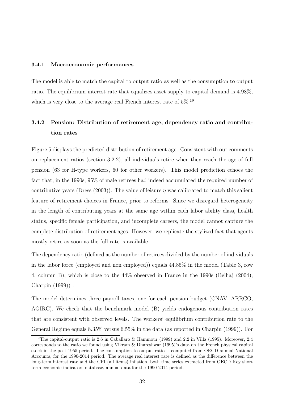#### 3.4.1 Macroeconomic performances

The model is able to match the capital to output ratio as well as the consumption to output ratio. The equilibrium interest rate that equalizes asset supply to capital demand is 4.98%, which is very close to the average real French interest rate of  $5\%$ .<sup>19</sup>

## 3.4.2 Pension: Distribution of retirement age, dependency ratio and contribution rates

Figure 5 displays the predicted distribution of retirement age. Consistent with our comments on replacement ratios (section 3.2.2), all individuals retire when they reach the age of full pension (63 for H-type workers, 60 for other workers). This model prediction echoes the fact that, in the 1990s, 95% of male retirees had indeed accumulated the required number of contributive years (Dress (2003)). The value of leisure  $\eta$  was calibrated to match this salient feature of retirement choices in France, prior to reforms. Since we disregard heterogeneity in the length of contributing years at the same age within each labor ability class, health status, specific female participation, and incomplete careers, the model cannot capture the complete distribution of retirement ages. However, we replicate the stylized fact that agents mostly retire as soon as the full rate is available.

The dependency ratio (defined as the number of retirees divided by the number of individuals in the labor force (employed and non employed)) equals 44.85% in the model (Table 3, row 4, column B), which is close to the 44% observed in France in the 1990s (Belhaj (2004); Charpin (1999)) .

The model determines three payroll taxes, one for each pension budget (CNAV, ARRCO, AGIRC). We check that the benchmark model (B) yields endogenous contribution rates that are consistent with observed levels. The workers' equilibrium contribution rate to the General Regime equals 8.35% versus 6.55% in the data (as reported in Charpin (1999)). For

<sup>19</sup>The capital-output ratio is 2.6 in Caballaro & Hammour (1999) and 2.2 in Villa (1995). Moreover, 2.4 corresponds to the ratio we found using Vikram & Dhareshwar (1995)'s data on the French physical capital stock in the post-1955 period. The consumption to output ratio is computed from OECD annual National Accounts, for the 1990-2014 period. The average real interest rate is defined as the difference between the long-term interest rate and the CPI (all items) inflation, both time series extracted from OECD Key short term economic indicators database, annual data for the 1990-2014 period.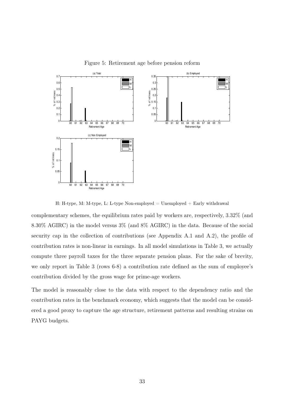

Figure 5: Retirement age before pension reform

H: H-type, M: M-type, L: L-type Non-employed = Unemployed + Early withdrawal

complementary schemes, the equilibrium rates paid by workers are, respectively, 3.32% (and 8.30% AGIRC) in the model versus 3% (and 8% AGIRC) in the data. Because of the social security cap in the collection of contributions (see Appendix A.1 and A.2), the profile of contribution rates is non-linear in earnings. In all model simulations in Table 3, we actually compute three payroll taxes for the three separate pension plans. For the sake of brevity, we only report in Table 3 (rows 6-8) a contribution rate defined as the sum of employee's contribution divided by the gross wage for prime-age workers.

The model is reasonably close to the data with respect to the dependency ratio and the contribution rates in the benchmark economy, which suggests that the model can be considered a good proxy to capture the age structure, retirement patterns and resulting strains on PAYG budgets.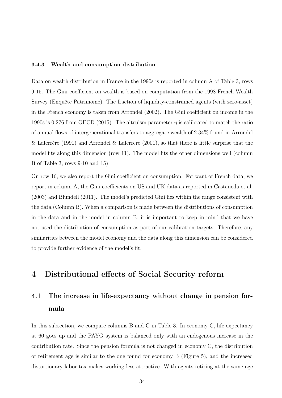#### 3.4.3 Wealth and consumption distribution

Data on wealth distribution in France in the 1990s is reported in column A of Table 3, rows 9-15. The Gini coefficient on wealth is based on computation from the 1998 French Wealth Survey (Enquête Patrimoine). The fraction of liquidity-constrained agents (with zero-asset) in the French economy is taken from Arrondel (2002). The Gini coefficient on income in the 1990s is 0.276 from OECD (2015). The altruism parameter  $\eta$  is calibrated to match the ratio of annual flows of intergenerational transfers to aggregate wealth of 2.34% found in Arrondel & Laferrère (1991) and Arrondel & Laferrere (2001), so that there is little surprise that the model fits along this dimension (row 11). The model fits the other dimensions well (column B of Table 3, rows 9-10 and 15).

On row 16, we also report the Gini coefficient on consumption. For want of French data, we report in column A, the Gini coefficients on US and UK data as reported in Castañeda et al. (2003) and Blundell (2011). The model's predicted Gini lies within the range consistent with the data (Column B). When a comparison is made between the distributions of consumption in the data and in the model in column B, it is important to keep in mind that we have not used the distribution of consumption as part of our calibration targets. Therefore, any similarities between the model economy and the data along this dimension can be considered to provide further evidence of the model's fit.

# 4 Distributional effects of Social Security reform

# 4.1 The increase in life-expectancy without change in pension formula

In this subsection, we compare columns B and C in Table 3. In economy C, life expectancy at 60 goes up and the PAYG system is balanced only with an endogenous increase in the contribution rate. Since the pension formula is not changed in economy C, the distribution of retirement age is similar to the one found for economy B (Figure 5), and the increased distortionary labor tax makes working less attractive. With agents retiring at the same age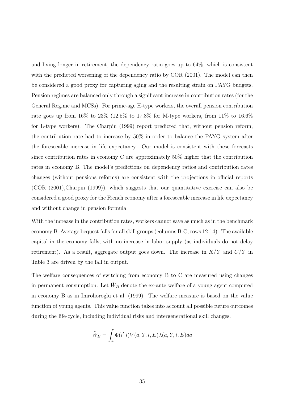and living longer in retirement, the dependency ratio goes up to 64%, which is consistent with the predicted worsening of the dependency ratio by COR (2001). The model can then be considered a good proxy for capturing aging and the resulting strain on PAYG budgets. Pension regimes are balanced only through a significant increase in contribution rates (for the General Regime and MCSs). For prime-age H-type workers, the overall pension contribution rate goes up from  $16\%$  to  $23\%$  (12.5% to 17.8% for M-type workers, from  $11\%$  to  $16.6\%$ for L-type workers). The Charpin (1999) report predicted that, without pension reform, the contribution rate had to increase by 50% in order to balance the PAYG system after the foreseeable increase in life expectancy. Our model is consistent with these forecasts since contribution rates in economy C are approximately 50% higher that the contribution rates in economy B. The model's predictions on dependency ratios and contribution rates changes (without pensions reforms) are consistent with the projections in official reports (COR (2001),Charpin (1999)), which suggests that our quantitative exercise can also be considered a good proxy for the French economy after a foreseeable increase in life expectancy and without change in pension formula.

With the increase in the contribution rates, workers cannot save as much as in the benchmark economy B. Average bequest falls for all skill groups (columns B-C, rows 12-14). The available capital in the economy falls, with no increase in labor supply (as individuals do not delay retirement). As a result, aggregate output goes down. The increase in  $K/Y$  and  $C/Y$  in Table 3 are driven by the fall in output.

The welfare consequences of switching from economy B to C are measured using changes in permanent consumption. Let  $\tilde{W}_B$  denote the ex-ante welfare of a young agent computed in economy B as in Imrohoroglu et al. (1999). The welfare measure is based on the value function of young agents. This value function takes into account all possible future outcomes during the life-cycle, including individual risks and intergenerational skill changes.

$$
\tilde{W}_B = \int_a \Phi(i'|i) V(a, Y, i, E) \lambda(a, Y, i, E) da
$$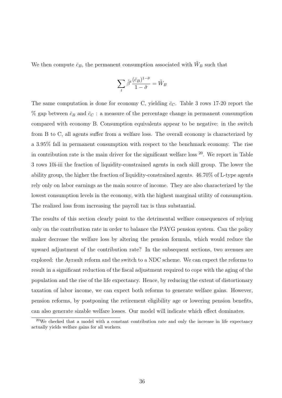We then compute  $\bar{c}_B$ , the permanent consumption associated with  $\tilde{W}_B$  such that

$$
\sum_{t} \tilde{\beta}^{t} \frac{(\bar{c}_{B})^{1-\tilde{\sigma}}}{1-\tilde{\sigma}} = \tilde{W}_{B}
$$

The same computation is done for economy C, yielding  $\bar{c}_C$ . Table 3 rows 17-20 report the  $\%$  gap between  $\bar{c}_B$  and  $\bar{c}_C$ : a measure of the percentage change in permanent consumption compared with economy B. Consumption equivalents appear to be negative: in the switch from B to C, all agents suffer from a welfare loss. The overall economy is characterized by a 3.95% fall in permanent consumption with respect to the benchmark economy. The rise in contribution rate is the main driver for the significant welfare loss  $20$ . We report in Table 3 rows 10i-iii the fraction of liquidity-constrained agents in each skill group. The lower the ability group, the higher the fraction of liquidity-constrained agents. 46.70% of L-type agents rely only on labor earnings as the main source of income. They are also characterized by the lowest consumption levels in the economy, with the highest marginal utility of consumption. The realized loss from increasing the payroll tax is thus substantial.

The results of this section clearly point to the detrimental welfare consequences of relying only on the contribution rate in order to balance the PAYG pension system. Can the policy maker decrease the welfare loss by altering the pension formula, which would reduce the upward adjustment of the contribution rate? In the subsequent sections, two avenues are explored: the Ayrault reform and the switch to a NDC scheme. We can expect the reforms to result in a significant reduction of the fiscal adjustment required to cope with the aging of the population and the rise of the life expectancy. Hence, by reducing the extent of distortionary taxation of labor income, we can expect both reforms to generate welfare gains. However, pension reforms, by postponing the retirement eligibility age or lowering pension benefits, can also generate sizable welfare losses. Our model will indicate which effect dominates.

 $20$ We checked that a model with a constant contribution rate and only the increase in life expectancy actually yields welfare gains for all workers.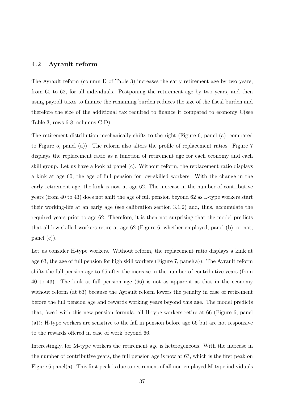### 4.2 Ayrault reform

The Ayrault reform (column D of Table 3) increases the early retirement age by two years, from 60 to 62, for all individuals. Postponing the retirement age by two years, and then using payroll taxes to finance the remaining burden reduces the size of the fiscal burden and therefore the size of the additional tax required to finance it compared to economy C(see Table 3, rows 6-8, columns C-D).

The retirement distribution mechanically shifts to the right (Figure 6, panel (a), compared to Figure 5, panel (a)). The reform also alters the profile of replacement ratios. Figure 7 displays the replacement ratio as a function of retirement age for each economy and each skill group. Let us have a look at panel (c). Without reform, the replacement ratio displays a kink at age 60, the age of full pension for low-skilled workers. With the change in the early retirement age, the kink is now at age 62. The increase in the number of contributive years (from 40 to 43) does not shift the age of full pension beyond 62 as L-type workers start their working-life at an early age (see calibration section 3.1.2) and, thus, accumulate the required years prior to age 62. Therefore, it is then not surprising that the model predicts that all low-skilled workers retire at age 62 (Figure 6, whether employed, panel (b), or not, panel (c)).

Let us consider H-type workers. Without reform, the replacement ratio displays a kink at age 63, the age of full pension for high skill workers (Figure 7, panel(a)). The Ayrault reform shifts the full pension age to 66 after the increase in the number of contributive years (from 40 to 43). The kink at full pension age (66) is not as apparent as that in the economy without reform (at 63) because the Ayrault reform lowers the penalty in case of retirement before the full pension age and rewards working years beyond this age. The model predicts that, faced with this new pension formula, all H-type workers retire at 66 (Figure 6, panel (a)): H-type workers are sensitive to the fall in pension before age 66 but are not responsive to the rewards offered in case of work beyond 66.

Interestingly, for M-type workers the retirement age is heterogeneous. With the increase in the number of contributive years, the full pension age is now at 63, which is the first peak on Figure 6 panel(a). This first peak is due to retirement of all non-employed M-type individuals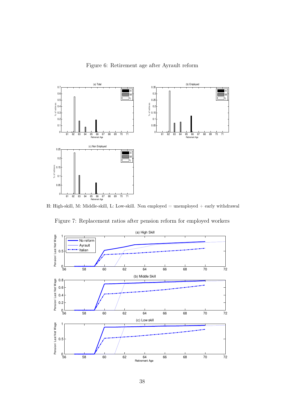Figure 6: Retirement age after Ayrault reform



H: High-skill, M: Middle-skill, L: Low-skill. Non employed = unemployed + early withdrawal



Figure 7: Replacement ratios after pension reform for employed workers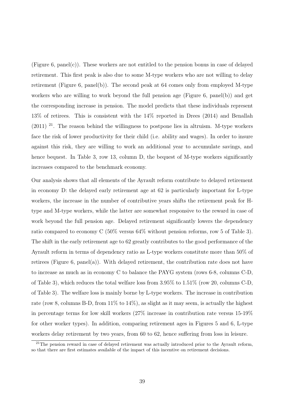(Figure 6, panel(c)). These workers are not entitled to the pension bonus in case of delayed retirement. This first peak is also due to some M-type workers who are not willing to delay retirement (Figure 6, panel(b)). The second peak at 64 comes only from employed M-type workers who are willing to work beyond the full pension age (Figure 6, panel(b)) and get the corresponding increase in pension. The model predicts that these individuals represent 13% of retirees. This is consistent with the 14% reported in Drees (2014) and Benallah  $(2011)$  <sup>21</sup>. The reason behind the willingness to postpone lies in altruism. M-type workers face the risk of lower productivity for their child (i.e. ability and wages). In order to insure against this risk, they are willing to work an additional year to accumulate savings, and hence bequest. In Table 3, row 13, column D, the bequest of M-type workers significantly increases compared to the benchmark economy.

Our analysis shows that all elements of the Ayrault reform contribute to delayed retirement in economy D: the delayed early retirement age at 62 is particularly important for L-type workers, the increase in the number of contributive years shifts the retirement peak for Htype and M-type workers, while the latter are somewhat responsive to the reward in case of work beyond the full pension age. Delayed retirement significantly lowers the dependency ratio compared to economy C (50% versus 64% without pension reforms, row 5 of Table 3). The shift in the early retirement age to 62 greatly contributes to the good performance of the Ayrault reform in terms of dependency ratio as L-type workers constitute more than 50% of retirees (Figure 6, panel(a)). With delayed retirement, the contribution rate does not have to increase as much as in economy C to balance the PAYG system (rows 6-8, columns C-D, of Table 3), which reduces the total welfare loss from 3.95% to 1.51% (row 20, columns C-D, of Table 3). The welfare loss is mainly borne by L-type workers. The increase in contribution rate (row 8, columns B-D, from  $11\%$  to  $14\%)$ , as slight as it may seem, is actually the highest in percentage terms for low skill workers (27% increase in contribution rate versus 15-19% for other worker types). In addition, comparing retirement ages in Figures 5 and 6, L-type workers delay retirement by two years, from 60 to 62, hence suffering from loss in leisure.

<sup>&</sup>lt;sup>21</sup>The pension reward in case of delayed retirement was actually introduced prior to the Ayrault reform, so that there are first estimates available of the impact of this incentive on retirement decisions.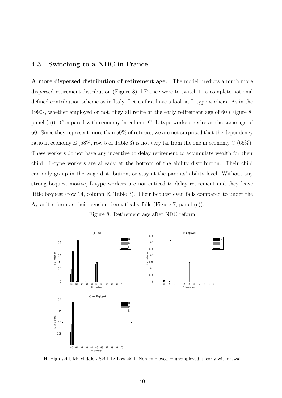### 4.3 Switching to a NDC in France

A more dispersed distribution of retirement age. The model predicts a much more dispersed retirement distribution (Figure 8) if France were to switch to a complete notional defined contribution scheme as in Italy. Let us first have a look at L-type workers. As in the 1990s, whether employed or not, they all retire at the early retirement age of 60 (Figure 8, panel (a)). Compared with economy in column C, L-type workers retire at the same age of 60. Since they represent more than 50% of retirees, we are not surprised that the dependency ratio in economy E (58%, row 5 of Table 3) is not very far from the one in economy C (65%). These workers do not have any incentive to delay retirement to accumulate wealth for their child. L-type workers are already at the bottom of the ability distribution. Their child can only go up in the wage distribution, or stay at the parents' ability level. Without any strong bequest motive, L-type workers are not enticed to delay retirement and they leave little bequest (row 14, column E, Table 3). Their bequest even falls compared to under the Ayrault reform as their pension dramatically falls (Figure 7, panel (c)).

Figure 8: Retirement age after NDC reform



H: High skill, M: Middle - Skill, L: Low skill. Non employed  $=$  unemployed  $+$  early withdrawal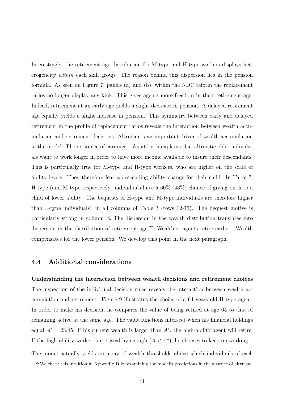Interestingly, the retirement age distribution for M-type and H-type workers displays heterogeneity within each skill group. The reason behind this dispersion lies in the pension formula. As seen on Figure 7, panels (a) and (b), within the NDC reform the replacement ratios no longer display any kink. This gives agents more freedom in their retirement age. Indeed, retirement at an early age yields a slight decrease in pension. A delayed retirement age equally yields a slight increase in pension. This symmetry between early and delayed retirement in the profile of replacement ratios reveals the interaction between wealth accumulation and retirement decisions. Altruism is an important driver of wealth accumulation in the model: The existence of earnings risks at birth explains that altruistic older individuals want to work longer in order to have more income available to insure their descendants. This is particularly true for M-type and H-type workers, who are higher on the scale of ability levels. They therefore fear a descending ability change for their child. In Table 7, H-type (and M-type respectively) individuals have a 60% (43%) chance of giving birth to a child of lower ability. The bequests of H-type and M-type individuals are therefore higher than L-type individuals', in all columns of Table 3 (rows 12-15). The bequest motive is particularly strong in column E. The dispersion in the wealth distribution translates into dispersion in the distribution of retirement age.<sup>22</sup> Wealthier agents retire earlier. Wealth compensates for the lower pension. We develop this point in the next paragraph.

### 4.4 Additional considerations

Understanding the interaction between wealth decisions and retirement choices The inspection of the individual decision rules reveals the interaction between wealth accumulation and retirement. Figure 9 illustrates the choice of a 64 years old H-type agent. In order to make his decision, he compares the value of being retired at age 64 to that of remaining active at the same age. The value functions intersect when his financial holdings equal  $A^* = 23.45$ . If his current wealth is larger than  $A^*$ , the high-ability agent will retire. If the high-ability worker is not wealthy enough  $(A < A^*)$ , he chooses to keep on working.

The model actually yields an array of wealth thresholds above which individuals of each  $22$ We check this intuition in Appendix D by examining the model's predictions in the absence of altruism.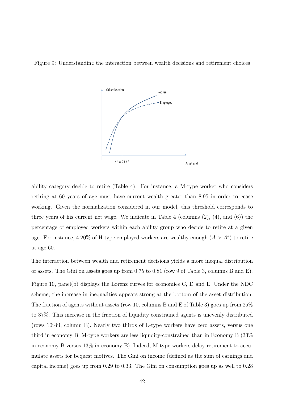Figure 9: Understanding the interaction between wealth decisions and retirement choices



ability category decide to retire (Table 4). For instance, a M-type worker who considers retiring at 60 years of age must have current wealth greater than 8.95 in order to cease working. Given the normalization considered in our model, this threshold corresponds to three years of his current net wage. We indicate in Table 4 (columns (2), (4), and (6)) the percentage of employed workers within each ability group who decide to retire at a given age. For instance, 4.20% of H-type employed workers are wealthy enough  $(A > A^*)$  to retire at age 60.

The interaction between wealth and retirement decisions yields a more inequal distribution of assets. The Gini on assets goes up from 0.75 to 0.81 (row 9 of Table 3, columns B and E).

Figure 10, panel(b) displays the Lorenz curves for economies C, D and E. Under the NDC scheme, the increase in inequalities appears strong at the bottom of the asset distribution. The fraction of agents without assets (row 10, columns B and E of Table 3) goes up from 25% to 37%. This increase in the fraction of liquidity constrained agents is unevenly distributed (rows 10i-iii, column E). Nearly two thirds of L-type workers have zero assets, versus one third in economy B. M-type workers are less liquidity-constrained than in Economy B (33% in economy B versus 13% in economy E). Indeed, M-type workers delay retirement to accumulate assets for bequest motives. The Gini on income (defined as the sum of earnings and capital income) goes up from 0.29 to 0.33. The Gini on consumption goes up as well to 0.28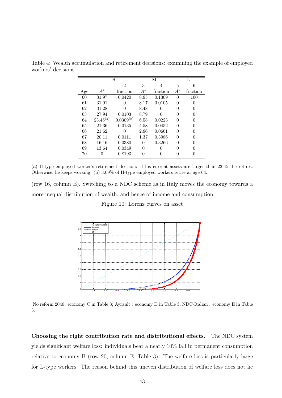|     |               | H              |          | М        |              |          |
|-----|---------------|----------------|----------|----------|--------------|----------|
|     | 1             | $\overline{2}$ | 3        | 4        | 5            | 6        |
| Age | $A^*$         | fraction       | $A^*$    | fraction | $A^*$        | fraction |
| 60  | 31.97         | 0.0420         | 8.95     | 0.1309   | 0            | 100      |
| 61  | 31.91         | 0              | 8.17     | 0.0105   | $\Omega$     | 0        |
| 62  | 31.28         | 0              | 8.48     |          |              | 0        |
| 63  | 27.94         | 0.0103         | 8.79     | $\Omega$ | $\mathbf{0}$ | $\theta$ |
| 64  | $23.45^{(a)}$ | $0.0309^{(b)}$ | 6.58     | 0.0223   | 0            | 0        |
| 65  | 21.36         | 0.0135         | 4.58     | 0.0452   |              |          |
| 66  | 21.62         | 0              | 2.96     | 0.0661   | $\Omega$     |          |
| 67  | 20.11         | 0.0111         | 1.37     | 0.3986   |              |          |
| 68  | 16.16         | 0.0380         | $\Omega$ | 0.3266   |              |          |
| 69  | 13.64         | 0.0349         | 0        |          |              |          |
| 70  |               | 0.8193         |          |          |              |          |

Table 4: Wealth accumulation and retirement decisions: examining the example of employed workers' decisions

(row 16, column E). Switching to a NDC scheme as in Italy moves the economy towards a more inequal distribution of wealth, and hence of income and consumption.

#### Figure 10: Lorenz curves on asset



No reform 2040: economy C in Table 3; Ayrault : economy D in Table 3; NDC-Italian : economy E in Table 3.

Choosing the right contribution rate and distributional effects. The NDC system yields significant welfare loss: individuals bear a nearly 10% fall in permanent consumption relative to economy B (row 20, column E, Table 3). The welfare loss is particularly large for L-type workers. The reason behind this uneven distribution of welfare loss does not lie

<sup>(</sup>a) H-type employed worker's retirement decision: if his current assets are larger than 23.45, he retires. Otherwise, he keeps working. (b) 3.09% of H-type employed workers retire at age 64.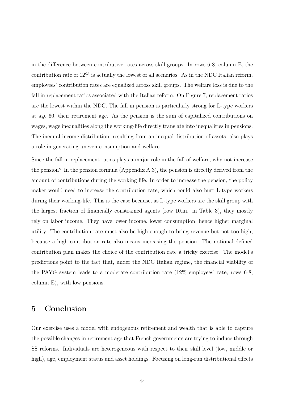in the difference between contributive rates across skill groups: In rows 6-8, column E, the contribution rate of 12% is actually the lowest of all scenarios. As in the NDC Italian reform, employees' contribution rates are equalized across skill groups. The welfare loss is due to the fall in replacement ratios associated with the Italian reform. On Figure 7, replacement ratios are the lowest within the NDC. The fall in pension is particularly strong for L-type workers at age 60, their retirement age. As the pension is the sum of capitalized contributions on wages, wage inequalities along the working-life directly translate into inequalities in pensions. The inequal income distribution, resulting from an inequal distribution of assets, also plays a role in generating uneven consumption and welfare.

Since the fall in replacement ratios plays a major role in the fall of welfare, why not increase the pension? In the pension formula (Appendix A.3), the pension is directly derived from the amount of contributions during the working life. In order to increase the pension, the policy maker would need to increase the contribution rate, which could also hurt L-type workers during their working-life. This is the case because, as L-type workers are the skill group with the largest fraction of financially constrained agents (row 10.iii. in Table 3), they mostly rely on labor income. They have lower income, lower consumption, hence higher marginal utility. The contribution rate must also be high enough to bring revenue but not too high, because a high contribution rate also means increasing the pension. The notional defined contribution plan makes the choice of the contribution rate a tricky exercise. The model's predictions point to the fact that, under the NDC Italian regime, the financial viability of the PAYG system leads to a moderate contribution rate (12% employees' rate, rows 6-8, column E), with low pensions.

# 5 Conclusion

Our exercise uses a model with endogenous retirement and wealth that is able to capture the possible changes in retirement age that French governments are trying to induce through SS reforms. Individuals are heterogeneous with respect to their skill level (low, middle or high), age, employment status and asset holdings. Focusing on long-run distributional effects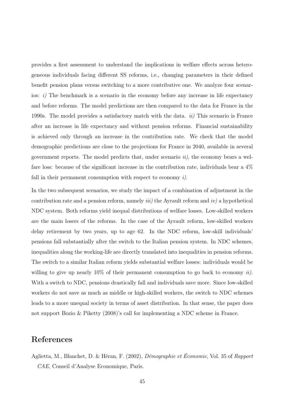provides a first assessment to understand the implications in welfare effects across heterogeneous individuals facing different SS reforms, i.e., changing parameters in their defined benefit pension plans versus switching to a more contributive one. We analyze four scenarios: i) The benchmark is a scenario in the economy before any increase in life expectancy and before reforms. The model predictions are then compared to the data for France in the 1990s. The model provides a satisfactory match with the data.  $ii)$  This scenario is France after an increase in life expectancy and without pension reforms. Financial sustainability is achieved only through an increase in the contribution rate. We check that the model demographic predictions are close to the projections for France in 2040, available in several government reports. The model predicts that, under scenario  $ii$ , the economy bears a welfare loss: because of the significant increase in the contribution rate, individuals bear a 4% fall in their permanent consumption with respect to economy  $i$ ).

In the two subsequent scenarios, we study the impact of a combination of adjustment in the contribution rate and a pension reform, namely *iii*) the Ayrault reform and *iv*) a hypothetical NDC system. Both reforms yield inequal distributions of welfare losses. Low-skilled workers are the main losers of the reforms. In the case of the Ayrault reform, low-skilled workers delay retirement by two years, up to age 62. In the NDC reform, low-skill individuals' pensions fall substantially after the switch to the Italian pension system. In NDC schemes, inequalities along the working-life are directly translated into inequalities in pension reforms. The switch to a similar Italian reform yields substantial welfare losses: individuals would be willing to give up nearly  $10\%$  of their permanent consumption to go back to economy *ii*). With a switch to NDC, pensions drastically fall and individuals save more. Since low-skilled workers do not save as much as middle or high-skilled workers, the switch to NDC schemes leads to a more unequal society in terms of asset distribution. In that sense, the paper does not support Bozio & Piketty (2008)'s call for implementing a NDC scheme in France.

## References

Aglietta, M., Blanchet, D. & Héran, F. (2002), Démographie et Économie, Vol. 35 of Rapport CAE, Conseil d'Analyse Economique, Paris.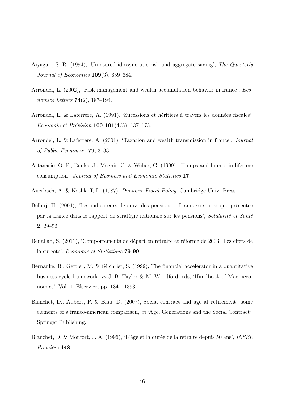- Aiyagari, S. R. (1994), 'Uninsured idiosyncratic risk and aggregate saving', The Quarterly Journal of Economics 109(3), 659–684.
- Arrondel, L. (2002), 'Risk management and wealth accumulation behavior in france', Economics Letters  $74(2)$ , 187-194.
- Arrondel, L. & Laferrère, A. (1991), 'Sucessions et héritiers à travers les données fiscales', Economie et Prévision  $100-101(4/5)$ , 137-175.
- Arrondel, L. & Laferrere, A. (2001), 'Taxation and wealth transmission in france', Journal of Public Economics 79, 3–33.
- Attanasio, O. P., Banks, J., Meghir, C. & Weber, G. (1999), 'Humps and bumps in lifetime consumption', Journal of Business and Economic Statistics 17.
- Auerbach, A. & Kotlikoff, L. (1987), Dynamic Fiscal Policy, Cambridge Univ. Press.
- Belhaj, H. (2004), 'Les indicateurs de suivi des pensions : L'annexe statistique présentée par la france dans le rapport de stratégie nationale sur les pensions', Solidarité et Santé 2, 29–52.
- Benallah, S. (2011), 'Comportements de départ en retraite et réforme de 2003: Les effets de la surcote', Economie et Statistique 79-99.
- Bernanke, B., Gertler, M. & Gilchrist, S. (1999), The financial accelerator in a quantitative business cycle framework, in J. B. Taylor & M. Woodford, eds, 'Handbook of Macroeconomics', Vol. 1, Elservier, pp. 1341–1393.
- Blanchet, D., Aubert, P. & Blau, D. (2007), Social contract and age at retirement: some elements of a franco-american comparison, in 'Age, Generations and the Social Contract', Springer Publishing.
- Blanchet, D. & Monfort, J. A. (1996), 'L'âge et la durée de la retraite depuis 50 ans', INSEE Première 448.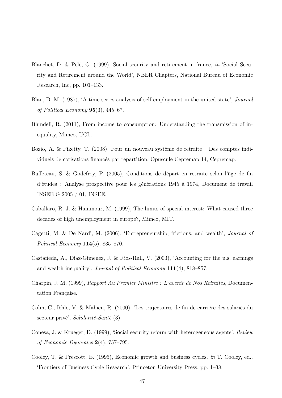- Blanchet, D. & Pelé, G. (1999), Social security and retirement in france, in 'Social Security and Retirement around the World', NBER Chapters, National Bureau of Economic Research, Inc, pp. 101–133.
- Blau, D. M. (1987), 'A time-series analysis of self-employment in the united state', Journal of Political Economy 95(3), 445–67.
- Blundell, R. (2011), From income to consumption: Understanding the transmission of inequality, Mimeo, UCL.
- Bozio, A. & Piketty, T. (2008), Pour un nouveau système de retraite : Des comptes individuels de cotisations financés par répartition, Opuscule Cepremap 14, Cepremap.
- Buffeteau, S. & Godefroy, P. (2005), Conditions de départ en retraite selon l'âge de fin d'études : Analyse prospective pour les générations 1945 à 1974, Document de travail INSEE G 2005 / 01, INSEE.
- Caballaro, R. J. & Hammour, M. (1999), The limits of special interest: What caused three decades of high unemployment in europe?, Mimeo, MIT.
- Cagetti, M. & De Nardi, M. (2006), 'Entrepreneurship, frictions, and wealth', Journal of Political Economy 114(5), 835–870.
- Castañeda, A., Diaz-Gimenez, J. & Rios-Rull, V. (2003), 'Accounting for the u.s. earnings and wealth inequality', Journal of Political Economy 111(4), 818–857.
- Charpin, J. M. (1999), Rapport Au Premier Ministre : L'avenir de Nos Retraites, Documentation Française.
- Colin, C., Iéhlé, V. & Mahieu, R. (2000), 'Les trajectoires de fin de carrière des salariés du secteur privé', Solidarité-Santé (3).
- Conesa, J. & Krueger, D. (1999), 'Social security reform with heterogeneous agents', Review of Economic Dynamics  $2(4)$ , 757–795.
- Cooley, T. & Prescott, E. (1995), Economic growth and business cycles, in T. Cooley, ed., 'Frontiers of Business Cycle Research', Princeton University Press, pp. 1–38.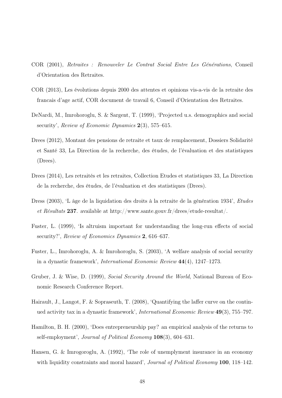- COR (2001), Retraites : Renouveler Le Contrat Social Entre Les Générations, Conseil d'Orientation des Retraites.
- COR (2013), Les évolutions depuis 2000 des attentes et opinions vis-a-vis de la retraite des francais d'age actif, COR document de travail 6, Conseil d'Orientation des Retraites.
- DeNardi, M., Imrohoroglu, S. & Sargent, T. (1999), 'Projected u.s. demographics and social security', Review of Economic Dynamics  $2(3)$ , 575–615.
- Drees (2012), Montant des pensions de retraite et taux de remplacement, Dossiers Solidarité et Santé 33, La Direction de la recherche, des études, de l'évaluation et des statistiques (Drees).
- Drees (2014), Les retraités et les retraites, Collection Etudes et statistiques 33, La Direction de la recherche, des études, de l'évaluation et des statistiques (Drees).
- Dress (2003), 'L âge de la liquidation des droits à la retraite de la génération 1934', Etudes et Résultats 237. available at http://www.sante.gouv.fr/drees/etude-resultat/.
- Fuster, L. (1999), 'Is altruism important for understanding the long-run effects of social security?', Review of Economics Dynamics 2, 616–637.
- Fuster, L., Imrohoroglu, A. & Imrohoroglu, S. (2003), 'A welfare analysis of social security in a dynastic framework', International Economic Review 44(4), 1247–1273.
- Gruber, J. & Wise, D. (1999), Social Security Around the World, National Bureau of Economic Research Conference Report.
- Hairault, J., Langot, F. & Sopraseuth, T. (2008), 'Quantifying the laffer curve on the continued activity tax in a dynastic framework', International Economic Review 49(3), 755–797.
- Hamilton, B. H. (2000), 'Does entrepreneurship pay? an empirical analysis of the returns to self-employment', Journal of Political Economy 108(3), 604–631.
- Hansen, G. & Imrogoroglu, A. (1992), 'The role of unemplyment insurance in an economy with liquidity constraints and moral hazard', *Journal of Political Economy* 100, 118–142.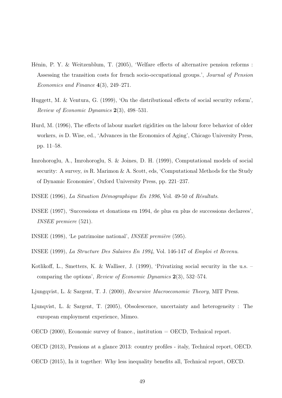- Hénin, P. Y. & Weitzenblum, T. (2005), 'Welfare effects of alternative pension reforms : Assessing the transition costs for french socio-occupational groups.', Journal of Pension Economics and Finance 4(3), 249–271.
- Huggett, M. & Ventura, G. (1999), 'On the distributional effects of social security reform', Review of Economic Dynamics 2(3), 498–531.
- Hurd, M. (1996), The effects of labour market rigidities on the labour force behavior of older workers, in D. Wise, ed., 'Advances in the Economics of Aging', Chicago University Press, pp. 11–58.
- Imrohoroglu, A., Imrohoroglu, S. & Joines, D. H. (1999), Computational models of social security: A survey, in R. Marimon & A. Scott, eds, 'Computational Methods for the Study of Dynamic Economies', Oxford University Press, pp. 221–237.
- INSEE (1996), La Situation Démographique En 1996, Vol. 49-50 of Résultats.
- INSEE (1997), 'Successions et donations en 1994, de plus en plus de successions declarees', INSEE premiere (521).
- INSEE (1998), 'Le patrimoine national', INSEE première (595).
- INSEE (1999), La Structure Des Salaires En 1994, Vol. 146-147 of Emploi et Revenu.
- Kotlikoff, L., Smetters, K. & Walliser, J. (1999), 'Privatizing social security in the u.s. comparing the options', Review of Economic Dynamics 2(3), 532–574.
- Ljungqvist, L. & Sargent, T. J. (2000), Recursive Macroeconomic Theory, MIT Press.
- Ljunqvist, L. & Sargent, T. (2005), Obsolescence, uncertainty and heterogeneity : The european employment experience, Mimeo.
- OECD  $(2000)$ , Economic survey of france., institution = OECD, Technical report.
- OECD (2013), Pensions at a glance 2013: country profiles italy, Technical report, OECD.
- OECD (2015), In it together: Why less inequality benefits all, Technical report, OECD.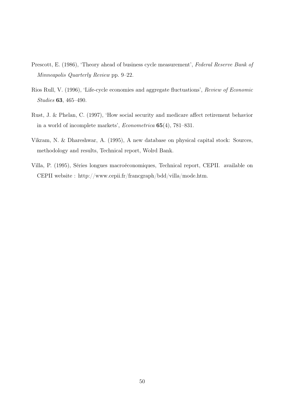- Prescott, E. (1986), 'Theory ahead of business cycle measurement', Federal Reserve Bank of Minneapolis Quarterly Review pp. 9–22.
- Rios Rull, V. (1996), 'Life-cycle economies and aggregate fluctuations', Review of Economic Studies 63, 465–490.
- Rust, J. & Phelan, C. (1997), 'How social security and medicare affect retirement behavior in a world of incomplete markets', Econometrica 65(4), 781–831.
- Vikram, N. & Dhareshwar, A. (1995), A new database on physical capital stock: Sources, methodology and results, Technical report, Wolrd Bank.
- Villa, P. (1995), Séries longues macroéconomiques, Technical report, CEPII. available on CEPII website : http://www.cepii.fr/francgraph/bdd/villa/mode.htm.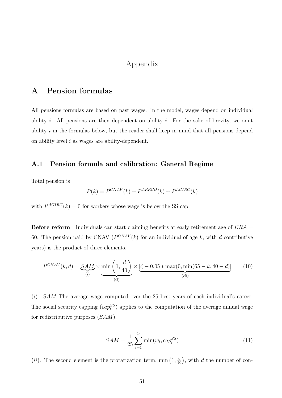## Appendix

# A Pension formulas

All pensions formulas are based on past wages. In the model, wages depend on individual ability  $i$ . All pensions are then dependent on ability  $i$ . For the sake of brevity, we omit ability i in the formulas below, but the reader shall keep in mind that all pensions depend on ability level  $i$  as wages are ability-dependent.

### A.1 Pension formula and calibration: General Regime

Total pension is

$$
P(k) = P^{CNAV}(k) + P^{ARRCO}(k) + P^{AGIRC}(k)
$$

with  $P^{AGIRC}(k) = 0$  for workers whose wage is below the SS cap.

**Before reform** Individuals can start claiming benefits at early retirement age of  $ERA =$ 60. The pension paid by CNAV ( $P^{CNAV}(k)$  for an individual of age k, with d contributive years) is the product of three elements.

$$
P^{CNAV}(k,d) = \underbrace{SAM}_{(i)} \times \underbrace{\min\left(1, \frac{d}{40}\right)}_{(ii)} \times \underbrace{[\zeta - 0.05 * \max(0, \min(65 - k, 40 - d)]}_{(iii)}
$$
(10)

 $(i)$ . SAM The average wage computed over the 25 best years of each individual's career. The social security capping  $(cap_t^{SS})$  applies to the computation of the average annual wage for redistributive purposes (SAM).

$$
SAM = \frac{1}{25} \sum_{t=1}^{25} \min(w_t, cap_t^{SS})
$$
\n(11)

(*ii*). The second element is the proratization term, min  $(1, \frac{d}{40})$ , with d the number of con-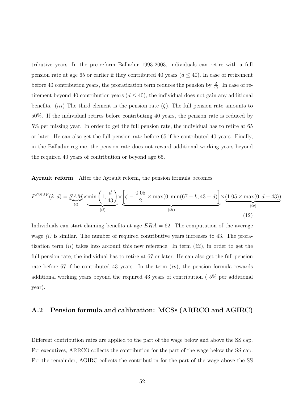tributive years. In the pre-reform Balladur 1993-2003, individuals can retire with a full pension rate at age 65 or earlier if they contributed 40 years  $(d \leq 40)$ . In case of retirement before 40 contribution years, the proratization term reduces the pension by  $\frac{d}{40}$ . In case of retirement beyond 40 contribution years  $(d \leq 40)$ , the individual does not gain any additional benefits. (*iii*) The third element is the pension rate ( $\zeta$ ). The full pension rate amounts to 50%. If the individual retires before contributing 40 years, the pension rate is reduced by 5% per missing year. In order to get the full pension rate, the individual has to retire at 65 or later. He can also get the full pension rate before 65 if he contributed 40 years. Finally, in the Balladur regime, the pension rate does not reward additional working years beyond the required 40 years of contribution or beyond age 65.

Ayrault reform After the Ayrault reform, the pension formula becomes

$$
P^{CNAV}(k,d) = \underbrace{SAM}_{(i)} \times \min\left(1, \frac{d}{43}\right) \times \underbrace{\left[\zeta - \frac{0.05}{2} \times \max(0, \min(67 - k, 43 - d)\right] \times \underbrace{(1.05 \times \max(0, d - 43))}_{(iv)}\right)}_{(iv)}
$$
(12)

Individuals can start claiming benefits at age  $ERA = 62$ . The computation of the average wage  $(i)$  is similar. The number of required contributive years increases to 43. The proratization term (ii) takes into account this new reference. In term (iii), in order to get the full pension rate, the individual has to retire at 67 or later. He can also get the full pension rate before 67 if he contributed 43 years. In the term  $(iv)$ , the pension formula rewards additional working years beyond the required 43 years of contribution ( 5% per additional year).

### A.2 Pension formula and calibration: MCSs (ARRCO and AGIRC)

Different contribution rates are applied to the part of the wage below and above the SS cap. For executives, ARRCO collects the contribution for the part of the wage below the SS cap. For the remainder, AGIRC collects the contribution for the part of the wage above the SS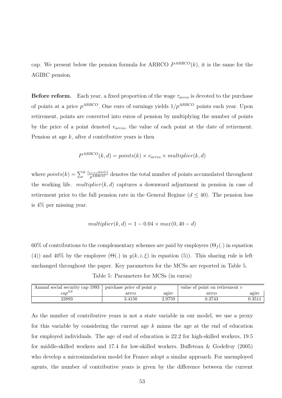cap. We present below the pension formula for ARRCO  $P^{ARRCO}(k)$ , it is the same for the AGIRC pension.

**Before reform.** Each year, a fixed proportion of the wage  $\tau_{arroc}$  is devoted to the purchase of points at a price  $p^{ARRCO}$ . One euro of earnings yields  $1/p^{ARRCO}$  points each year. Upon retirement, points are converted into euros of pension by multiplying the number of points by the price of a point denoted  $v_{arroc}$ , the value of each point at the date of retirement. Pension at age  $k$ , after  $d$  contributive years is then

$$
P^{ARRCO}(k,d) = points(k) \times v_{arro} \times multiplier(k,d)
$$

where  $points(k) = \sum_{k}^k \frac{\tau_{arcco} \bar{w}w(i)}{p^{ARRCO}}$  denotes the total number of points accumulated throughout the working life.  $multiplier(k, d)$  captures a downward adjustment in pension in case of retirement prior to the full pension rate in the General Regime  $(d \leq 40)$ . The pension loss is 4% per missing year.

$$
multiplier(k, d) = 1 - 0.04 \times max(0, 40 - d)
$$

60% of contributions to the complementary schemes are paid by employers  $(\Theta_f)$  in equation (4)) and 40% by the employee ( $\Theta(.)$  in  $y(k, i, \xi)$  in equation (5)). This sharing rule is left unchanged throughout the paper. Key parameters for the MCSs are reported in Table 5. Table 5: Parameters for MCSs (in euros)

| Annual social security cap 1993 + . | purchase price of point $p$ |        | value of point on retirement $v$ |        |
|-------------------------------------|-----------------------------|--------|----------------------------------|--------|
| $cap^{SS}$                          | arrco                       | agirc  | arrco                            | agıro  |
| 23893                               | 3.4150                      | 2.9759 | 0.3743                           | 0.3511 |

As the number of contributive years is not a state variable in our model, we use a proxy for this variable by considering the current age  $k$  minus the age at the end of education for employed individuals. The age of end of education is 22.2 for high-skilled workers, 19.5 for middle-skilled workers and 17.4 for low-skilled workers. Buffeteau & Godefroy (2005) who develop a microsimulation model for France adopt a similar approach. For unemployed agents, the number of contributive years is given by the difference between the current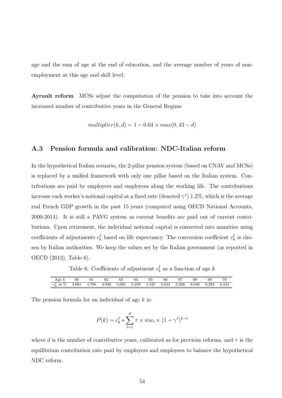age and the sum of age at the end of education, and the average number of years of nonemployment at this age and skill level.

Ayrault reform MCSs adjust the computation of the pension to take into account the increased number of contributive years in the General Regime

$$
multiplier(k, d) = 1 - 0.04 \times max(0, 43 - d)
$$

### A.3 Pension formula and calibration: NDC-Italian reform

In the hypothetical Italian scenario, the 2-pillar pension system (based on CNAV and MCSs) is replaced by a unified framework with only one pillar based on the Italian system. Contributions are paid by employers and employees along the working life. The contributions increase each worker's notional capital at a fixed rate (denoted  $\gamma^I$ ) 1.2%, which is the average real French GDP growth in the past 15 years (computed using OECD National Accounts, 2000-2014). It is still a PAYG system as current benefits are paid out of current contributions. Upon retirement, the individual notional capital is converted into annuities using coefficients of adjustments  $c_k^I$  based on life expectancy. The conversion coefficient  $c_k^I$  is chosen by Italian authorities. We keep the values set by the Italian government (as reported in OECD (2013), Table 6).

Table 6: Coefficients of adjustment  $c_k^I$  as a function of age k

| Age<br>к                                                      | 60    | UΙ    | 62    | $\alpha$<br>ნპ | 64    | 65    | 66    | 67    | 68    | 69    | 70    |
|---------------------------------------------------------------|-------|-------|-------|----------------|-------|-------|-------|-------|-------|-------|-------|
| $\sim$<br>$\%$<br>$_{\rm 1n}$<br>$\sim$ <sup>1</sup><br>$U_L$ | 4.661 | 4.796 | 4.940 | 5.094          | 5.259 | 5.435 | 5.624 | 5.826 | 6.046 | 6.283 | 6.541 |

The pension formula for an individual of age  $k$  is:

$$
P(k) = c_k^I * \sum_{t=1}^d \tau \times \bar{w} w_t \times (1 + \gamma^I)^{k-t}
$$

where d is the number of contributive years, calibrated as for previous reforms, and  $\tau$  is the equilibrium contribution rate paid by employers and employees to balance the hypothetical NDC reform.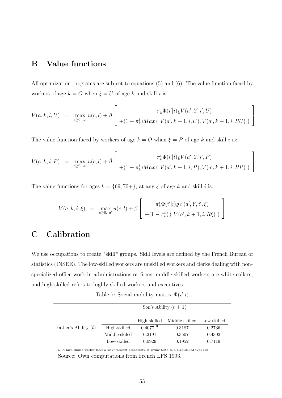# B Value functions

All optimization programs are subject to equations (5) and (6). The value function faced by workers of age  $k = O$  when  $\xi = U$  of age k and skill i is:.

$$
V(a,k,i,U) = \max_{c \ge 0, a'} u(c,l) + \tilde{\beta} \left[ \frac{\pi_k^i \Phi(i'|i) \varrho V(a',Y,i',U)}{+(1-\pi_k^i) Max(V(a',k+1,i,U), V(a',k+1,i,RU))} \right]
$$

The value function faced by workers of age  $k = O$  when  $\xi = P$  of age k and skill i is:

$$
V(a,k,i,P) = \max_{c \ge 0, a'} u(c,l) + \tilde{\beta} \left[ \frac{\pi_k^i \Phi(i'|i) \varrho V(a',Y,i',P)}{+(1-\pi_k^i) Max(V(a',k+1,i,P), V(a',k+1,i,RP))} \right]
$$

The value functions for ages  $k = \{69, 70+\}$ , at any  $\xi$  of age k and skill i is:

$$
V(a,k,i,\xi) = \max_{c \ge 0, a'} u(c,l) + \tilde{\beta} \left[ \begin{array}{c} \pi_k^i \Phi(i'|i) \varrho V(a',Y,i',\xi) \\ + (1 - \pi_k^i) \left( V(a',k+1,i,R\xi) \right) \end{array} \right]
$$

# C Calibration

We use occupations to create "skill" groups. Skill levels are defined by the French Bureau of statistics (INSEE). The low-skilled workers are unskilled workers and clerks dealing with nonspecialized office work in administrations or firms; middle-skilled workers are white-collars; and high-skilled refers to highly skilled workers and executives.

Table 7: Social mobility matrix  $\Phi(i'|i)$ 

| Son's Ability $(t+1)$  |               |                       |                |             |  |  |  |  |  |
|------------------------|---------------|-----------------------|----------------|-------------|--|--|--|--|--|
|                        |               | High-skilled          | Middle-skilled | Low-skilled |  |  |  |  |  |
| Father's Ability $(t)$ | High-skilled  | $0.4077$ <sup>a</sup> | 0.3187         | 0.2736      |  |  |  |  |  |
|                        | Middle-skiled | 0.2191                | 0.3507         | 0.4302      |  |  |  |  |  |
|                        | Low-skilled   | 0.0929                | 0.1952         | 0.7119      |  |  |  |  |  |

a: A high-skilled worker faces a 40.77 percent probability of giving birth to a high-skilled type son Source: Own computations from French LFS 1993.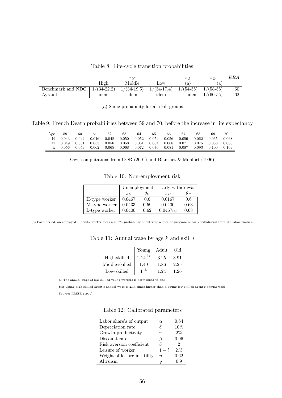Table 8: Life-cycle transition probabilities

|                   |               | $\pi\mathrm{v}$ |               | $\pi_{\,\it A}$ | $\pi_{O}$   | ERA |
|-------------------|---------------|-----------------|---------------|-----------------|-------------|-----|
|                   | High          | Middle          | Low           | a l             | ά           |     |
| Benchmark and NDC | $1/(34-22.2)$ | $1/(34-19.5)$   | $1/(34-17.4)$ | $1/(54-35)$     | $1/(58-55)$ | 60  |
| Avrault           | idem          | idem            | idem          | idem            | $1/(60-55)$ | 62  |

(a) Same probability for all skill groups

Table 9: French Death probabilities between 59 and 70, before the increase in life expectancy

| Age | 59    | 60    | 61    | 62    | 63    | 64    | 65    | 66    | 67    | 68    | 69    | $70+$ |
|-----|-------|-------|-------|-------|-------|-------|-------|-------|-------|-------|-------|-------|
|     | 0.043 | 0.044 | 0.046 | 0.048 | 0.050 | 0.052 | 0.054 | 0.056 | 0.059 | 0.062 | 0.065 | 0.068 |
|     | 0.049 | 0.051 | 0.053 | 0.056 | 0.058 | 0.061 | 0.064 | 0.068 | 0.071 | 0.075 | 0.080 | 0.086 |
|     | 0.056 | 0.059 | 0.062 | 0.065 | 0.068 | 0.072 | 0.076 | 0.081 | 0.087 | 0.093 | 0.100 | 0.109 |

Own computations from COR (2001) and Blanchet & Monfort (1996)

Table 10: Non-employment risk

|               | Unemployment |               | Early withdrawal |            |  |
|---------------|--------------|---------------|------------------|------------|--|
|               | $\pi$        | $\theta_{II}$ | $\pi_P$          | $\theta_P$ |  |
| H-type worker | 0.0467       | 0.6           | 0.0167           | 0.6        |  |
| M-type worker | 0.0433       | 0.59          | 0.0400           | 0.63       |  |
| L-type worker | 0.0400       | 0.62          | $0.0467$ (a)     | 0.68       |  |

(a) Each period, an employed L-ability worker faces a 4.67% probability of entering a specific program of early withdrawal from the labor market.

|                | Young | Adult | Old  |
|----------------|-------|-------|------|
| High-skilled   | 2.14  | 3.25  | 3.91 |
| Middle-skilled | 1.40  | 1.86  | 2.25 |
| Low-skilled    | a     | 1 94  | 1.26 |

Table 11: Annual wage by age  $k$  and skill  $i$ 

a: The annual wage of low-skilled young workers is normalized to one

b:A young high-skilled agent's annual wage is 2.14 times higher than a young low-skilled agent's annual wage Source: INSEE (1999)

|  |  | Table 12: Calibrated parameters |
|--|--|---------------------------------|
|--|--|---------------------------------|

| Labor share's of output      | $\alpha$         | 0.64  |
|------------------------------|------------------|-------|
| Depreciation rate            |                  | 10%   |
| Growth productivity          |                  | $2\%$ |
| Discount rate                | ß                | 0.96  |
| Risk aversion coefficient    | $\tilde{\sigma}$ | 2     |
| Leisure of worker            | $1-l$            | 2/3   |
| Weight of leisure in utility | n                | 0.62  |
| Altruism                     |                  | 0.9   |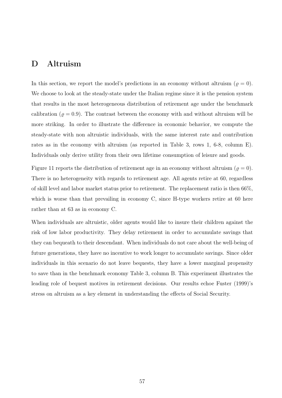# D Altruism

In this section, we report the model's predictions in an economy without altruism ( $\varrho = 0$ ). We choose to look at the steady-state under the Italian regime since it is the pension system that results in the most heterogeneous distribution of retirement age under the benchmark calibration ( $\varrho = 0.9$ ). The contrast between the economy with and without altruism will be more striking. In order to illustrate the difference in economic behavior, we compute the steady-state with non altruistic individuals, with the same interest rate and contribution rates as in the economy with altruism (as reported in Table 3, rows 1, 6-8, column E). Individuals only derive utility from their own lifetime consumption of leisure and goods.

Figure 11 reports the distribution of retirement age in an economy without altruism ( $\varrho = 0$ ). There is no heterogeneity with regards to retirement age. All agents retire at 60, regardless of skill level and labor market status prior to retirement. The replacement ratio is then 66%, which is worse than that prevailing in economy C, since H-type workers retire at 60 here rather than at 63 as in economy C.

When individuals are altruistic, older agents would like to insure their children against the risk of low labor productivity. They delay retirement in order to accumulate savings that they can bequeath to their descendant. When individuals do not care about the well-being of future generations, they have no incentive to work longer to accumulate savings. Since older individuals in this scenario do not leave bequests, they have a lower marginal propensity to save than in the benchmark economy Table 3, column B. This experiment illustrates the leading role of bequest motives in retirement decisions. Our results echoe Fuster (1999)'s stress on altruism as a key element in understanding the effects of Social Security.